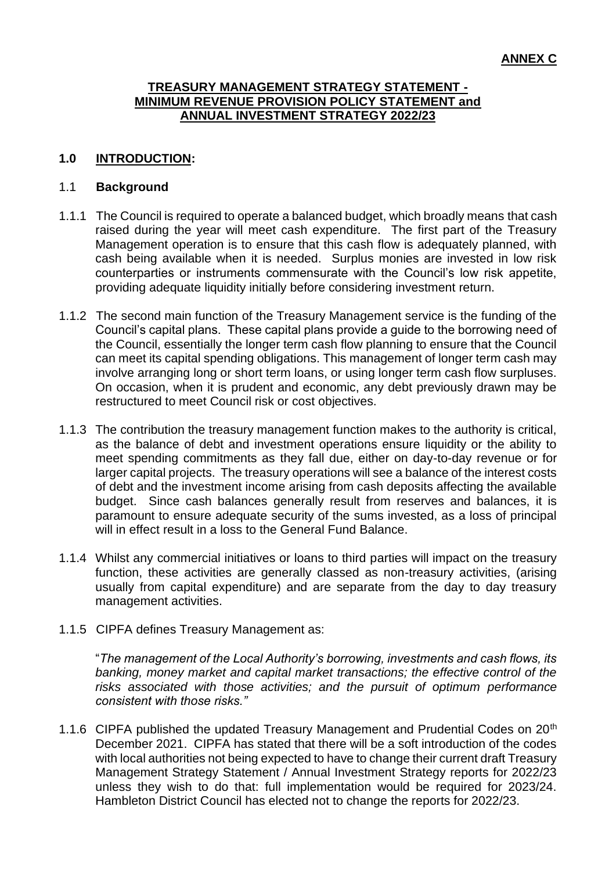#### **TREASURY MANAGEMENT STRATEGY STATEMENT - MINIMUM REVENUE PROVISION POLICY STATEMENT and ANNUAL INVESTMENT STRATEGY 2022/23**

#### **1.0 INTRODUCTION:**

#### 1.1 **Background**

- 1.1.1 The Council is required to operate a balanced budget, which broadly means that cash raised during the year will meet cash expenditure. The first part of the Treasury Management operation is to ensure that this cash flow is adequately planned, with cash being available when it is needed. Surplus monies are invested in low risk counterparties or instruments commensurate with the Council's low risk appetite, providing adequate liquidity initially before considering investment return.
- 1.1.2 The second main function of the Treasury Management service is the funding of the Council's capital plans. These capital plans provide a guide to the borrowing need of the Council, essentially the longer term cash flow planning to ensure that the Council can meet its capital spending obligations. This management of longer term cash may involve arranging long or short term loans, or using longer term cash flow surpluses. On occasion, when it is prudent and economic, any debt previously drawn may be restructured to meet Council risk or cost objectives.
- 1.1.3 The contribution the treasury management function makes to the authority is critical, as the balance of debt and investment operations ensure liquidity or the ability to meet spending commitments as they fall due, either on day-to-day revenue or for larger capital projects. The treasury operations will see a balance of the interest costs of debt and the investment income arising from cash deposits affecting the available budget. Since cash balances generally result from reserves and balances, it is paramount to ensure adequate security of the sums invested, as a loss of principal will in effect result in a loss to the General Fund Balance.
- 1.1.4 Whilst any commercial initiatives or loans to third parties will impact on the treasury function, these activities are generally classed as non-treasury activities, (arising usually from capital expenditure) and are separate from the day to day treasury management activities.
- 1.1.5 CIPFA defines Treasury Management as:

"*The management of the Local Authority's borrowing, investments and cash flows, its banking, money market and capital market transactions; the effective control of the risks associated with those activities; and the pursuit of optimum performance consistent with those risks."*

1.1.6 CIPFA published the updated Treasury Management and Prudential Codes on 20<sup>th</sup> December 2021. CIPFA has stated that there will be a soft introduction of the codes with local authorities not being expected to have to change their current draft Treasury Management Strategy Statement / Annual Investment Strategy reports for 2022/23 unless they wish to do that: full implementation would be required for 2023/24. Hambleton District Council has elected not to change the reports for 2022/23.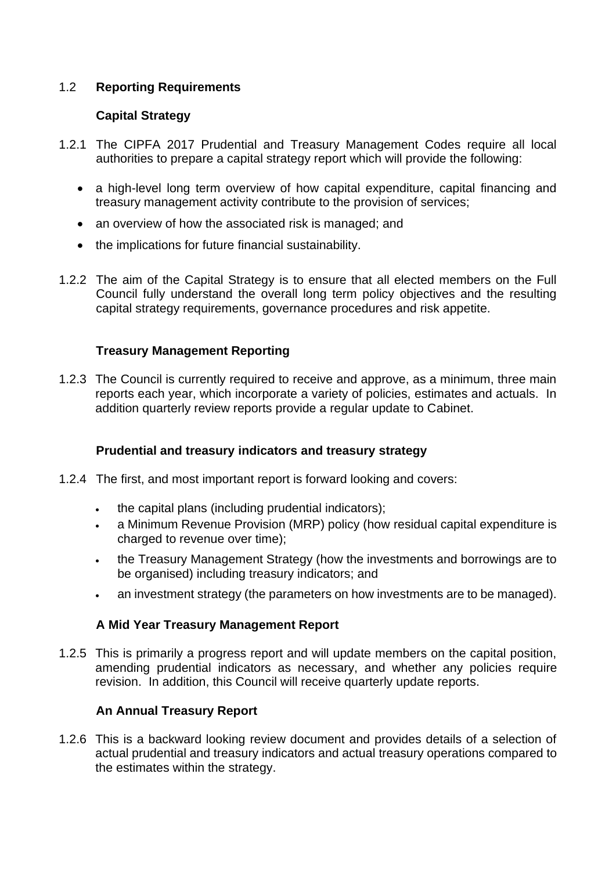### 1.2 **Reporting Requirements**

#### **Capital Strategy**

- 1.2.1 The CIPFA 2017 Prudential and Treasury Management Codes require all local authorities to prepare a capital strategy report which will provide the following:
	- a high-level long term overview of how capital expenditure, capital financing and treasury management activity contribute to the provision of services;
	- an overview of how the associated risk is managed; and
	- the implications for future financial sustainability.
- 1.2.2 The aim of the Capital Strategy is to ensure that all elected members on the Full Council fully understand the overall long term policy objectives and the resulting capital strategy requirements, governance procedures and risk appetite.

#### **Treasury Management Reporting**

1.2.3 The Council is currently required to receive and approve, as a minimum, three main reports each year, which incorporate a variety of policies, estimates and actuals. In addition quarterly review reports provide a regular update to Cabinet.

### **Prudential and treasury indicators and treasury strategy**

- 1.2.4 The first, and most important report is forward looking and covers:
	- the capital plans (including prudential indicators);
	- a Minimum Revenue Provision (MRP) policy (how residual capital expenditure is charged to revenue over time);
	- the Treasury Management Strategy (how the investments and borrowings are to be organised) including treasury indicators; and
	- an investment strategy (the parameters on how investments are to be managed).

### **A Mid Year Treasury Management Report**

1.2.5 This is primarily a progress report and will update members on the capital position, amending prudential indicators as necessary, and whether any policies require revision. In addition, this Council will receive quarterly update reports.

### **An Annual Treasury Report**

1.2.6 This is a backward looking review document and provides details of a selection of actual prudential and treasury indicators and actual treasury operations compared to the estimates within the strategy.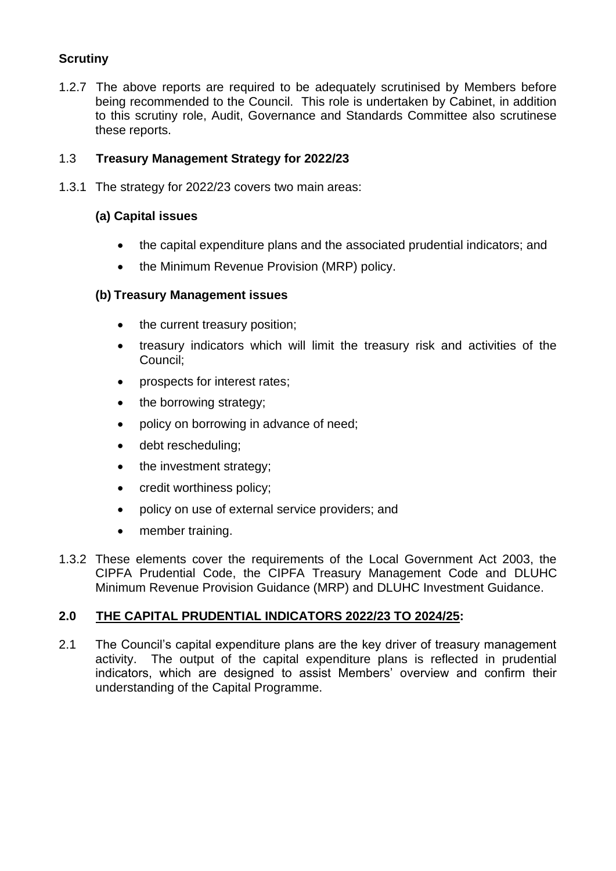## **Scrutiny**

1.2.7 The above reports are required to be adequately scrutinised by Members before being recommended to the Council. This role is undertaken by Cabinet, in addition to this scrutiny role, Audit, Governance and Standards Committee also scrutinese these reports.

#### 1.3 **Treasury Management Strategy for 2022/23**

1.3.1 The strategy for 2022/23 covers two main areas:

### **(a) Capital issues**

- the capital expenditure plans and the associated prudential indicators; and
- the Minimum Revenue Provision (MRP) policy.

#### **(b) Treasury Management issues**

- the current treasury position;
- treasury indicators which will limit the treasury risk and activities of the Council;
- prospects for interest rates;
- the borrowing strategy;
- policy on borrowing in advance of need;
- debt rescheduling;
- the investment strategy;
- credit worthiness policy;
- policy on use of external service providers; and
- member training.
- 1.3.2 These elements cover the requirements of the Local Government Act 2003, the CIPFA Prudential Code, the CIPFA Treasury Management Code and DLUHC Minimum Revenue Provision Guidance (MRP) and DLUHC Investment Guidance.

#### **2.0 THE CAPITAL PRUDENTIAL INDICATORS 2022/23 TO 2024/25:**

2.1 The Council's capital expenditure plans are the key driver of treasury management activity. The output of the capital expenditure plans is reflected in prudential indicators, which are designed to assist Members' overview and confirm their understanding of the Capital Programme.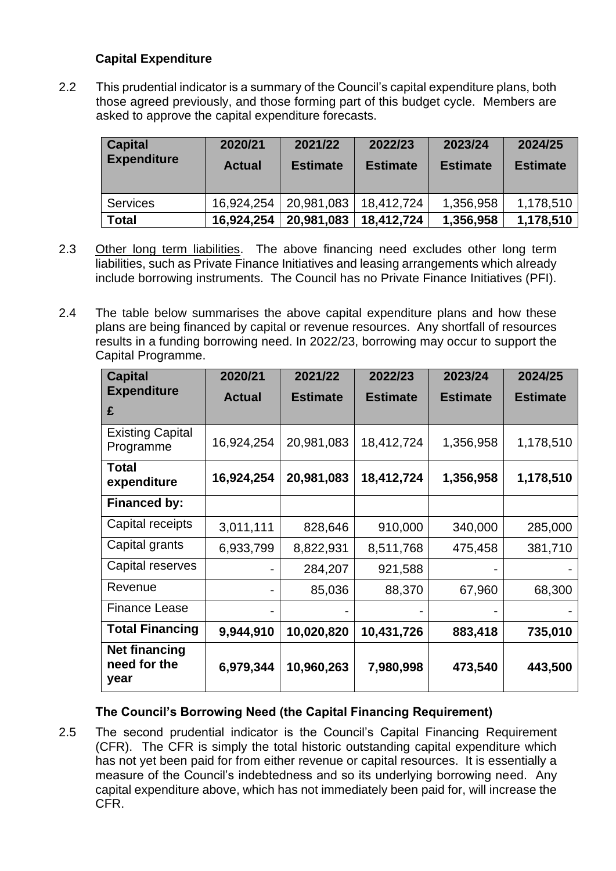### **Capital Expenditure**

2.2 This prudential indicator is a summary of the Council's capital expenditure plans, both those agreed previously, and those forming part of this budget cycle. Members are asked to approve the capital expenditure forecasts.

| <b>Capital</b><br><b>Expenditure</b> | 2020/21<br><b>Actual</b> | 2021/22<br><b>Estimate</b> | 2022/23<br><b>Estimate</b> | 2023/24<br><b>Estimate</b> | 2024/25<br><b>Estimate</b> |
|--------------------------------------|--------------------------|----------------------------|----------------------------|----------------------------|----------------------------|
| <b>Services</b>                      | 16,924,254               | 20,981,083                 | 18,412,724                 | 1,356,958                  | 1,178,510                  |
| <b>Total</b>                         | 16,924,254               | 20,981,083                 | 18,412,724                 | 1,356,958                  | 1,178,510                  |

- 2.3 Other long term liabilities. The above financing need excludes other long term liabilities, such as Private Finance Initiatives and leasing arrangements which already include borrowing instruments. The Council has no Private Finance Initiatives (PFI).
- 2.4 The table below summarises the above capital expenditure plans and how these plans are being financed by capital or revenue resources. Any shortfall of resources results in a funding borrowing need. In 2022/23, borrowing may occur to support the Capital Programme.

| <b>Capital</b>                               | 2020/21       | 2021/22         | 2022/23         | 2023/24         | 2024/25         |
|----------------------------------------------|---------------|-----------------|-----------------|-----------------|-----------------|
| <b>Expenditure</b>                           | <b>Actual</b> | <b>Estimate</b> | <b>Estimate</b> | <b>Estimate</b> | <b>Estimate</b> |
| £                                            |               |                 |                 |                 |                 |
| <b>Existing Capital</b><br>Programme         | 16,924,254    | 20,981,083      | 18,412,724      | 1,356,958       | 1,178,510       |
| Total<br>expenditure                         | 16,924,254    | 20,981,083      | 18,412,724      | 1,356,958       | 1,178,510       |
| <b>Financed by:</b>                          |               |                 |                 |                 |                 |
| Capital receipts                             | 3,011,111     | 828,646         | 910,000         | 340,000         | 285,000         |
| Capital grants                               | 6,933,799     | 8,822,931       | 8,511,768       | 475,458         | 381,710         |
| Capital reserves                             |               | 284,207         | 921,588         |                 |                 |
| Revenue                                      |               | 85,036          | 88,370          | 67,960          | 68,300          |
| <b>Finance Lease</b>                         |               |                 |                 |                 |                 |
| <b>Total Financing</b>                       | 9,944,910     | 10,020,820      | 10,431,726      | 883,418         | 735,010         |
| <b>Net financing</b><br>need for the<br>year | 6,979,344     | 10,960,263      | 7,980,998       | 473,540         | 443,500         |

### **The Council's Borrowing Need (the Capital Financing Requirement)**

2.5 The second prudential indicator is the Council's Capital Financing Requirement (CFR). The CFR is simply the total historic outstanding capital expenditure which has not yet been paid for from either revenue or capital resources. It is essentially a measure of the Council's indebtedness and so its underlying borrowing need. Any capital expenditure above, which has not immediately been paid for, will increase the CFR.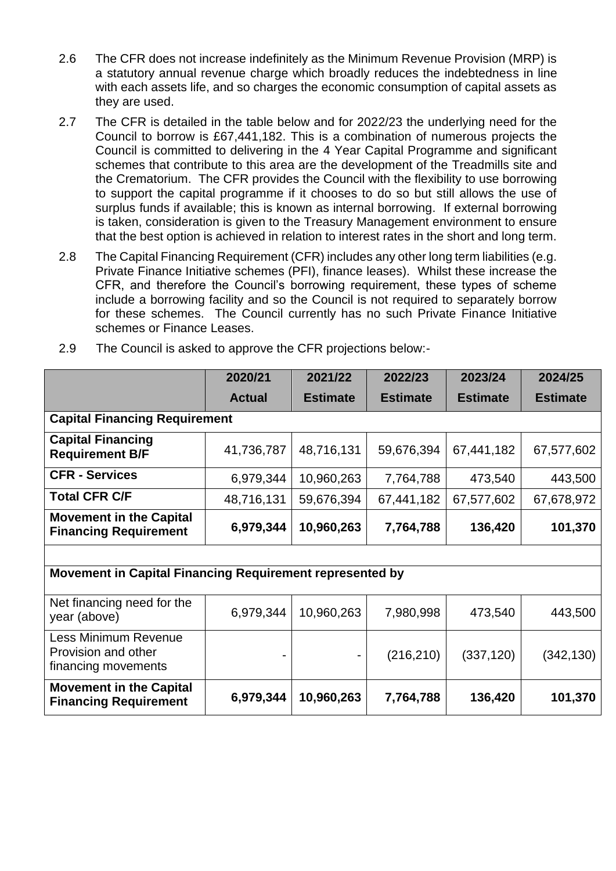- 2.6 The CFR does not increase indefinitely as the Minimum Revenue Provision (MRP) is a statutory annual revenue charge which broadly reduces the indebtedness in line with each assets life, and so charges the economic consumption of capital assets as they are used.
- 2.7 The CFR is detailed in the table below and for 2022/23 the underlying need for the Council to borrow is £67,441,182. This is a combination of numerous projects the Council is committed to delivering in the 4 Year Capital Programme and significant schemes that contribute to this area are the development of the Treadmills site and the Crematorium. The CFR provides the Council with the flexibility to use borrowing to support the capital programme if it chooses to do so but still allows the use of surplus funds if available; this is known as internal borrowing. If external borrowing is taken, consideration is given to the Treasury Management environment to ensure that the best option is achieved in relation to interest rates in the short and long term.
- 2.8 The Capital Financing Requirement (CFR) includes any other long term liabilities (e.g. Private Finance Initiative schemes (PFI), finance leases). Whilst these increase the CFR, and therefore the Council's borrowing requirement, these types of scheme include a borrowing facility and so the Council is not required to separately borrow for these schemes. The Council currently has no such Private Finance Initiative schemes or Finance Leases.

|                                                                           | 2020/21       | 2021/22         | 2022/23         | 2023/24         | 2024/25         |  |  |
|---------------------------------------------------------------------------|---------------|-----------------|-----------------|-----------------|-----------------|--|--|
|                                                                           | <b>Actual</b> | <b>Estimate</b> | <b>Estimate</b> | <b>Estimate</b> | <b>Estimate</b> |  |  |
| <b>Capital Financing Requirement</b>                                      |               |                 |                 |                 |                 |  |  |
| <b>Capital Financing</b><br><b>Requirement B/F</b>                        | 41,736,787    | 48,716,131      | 59,676,394      | 67,441,182      | 67,577,602      |  |  |
| <b>CFR - Services</b>                                                     | 6,979,344     | 10,960,263      | 7,764,788       | 473,540         | 443,500         |  |  |
| <b>Total CFR C/F</b>                                                      | 48,716,131    | 59,676,394      | 67,441,182      | 67,577,602      | 67,678,972      |  |  |
| <b>Movement in the Capital</b><br><b>Financing Requirement</b>            | 6,979,344     | 10,960,263      | 7,764,788       | 136,420         | 101,370         |  |  |
|                                                                           |               |                 |                 |                 |                 |  |  |
| Movement in Capital Financing Requirement represented by                  |               |                 |                 |                 |                 |  |  |
| Net financing need for the<br>year (above)                                | 6,979,344     | 10,960,263      | 7,980,998       | 473,540         | 443,500         |  |  |
| <b>Less Minimum Revenue</b><br>Provision and other<br>financing movements |               | ۰               | (216, 210)      | (337, 120)      | (342, 130)      |  |  |
| <b>Movement in the Capital</b><br><b>Financing Requirement</b>            | 6,979,344     | 10,960,263      | 7,764,788       | 136,420         | 101,370         |  |  |

2.9 The Council is asked to approve the CFR projections below:-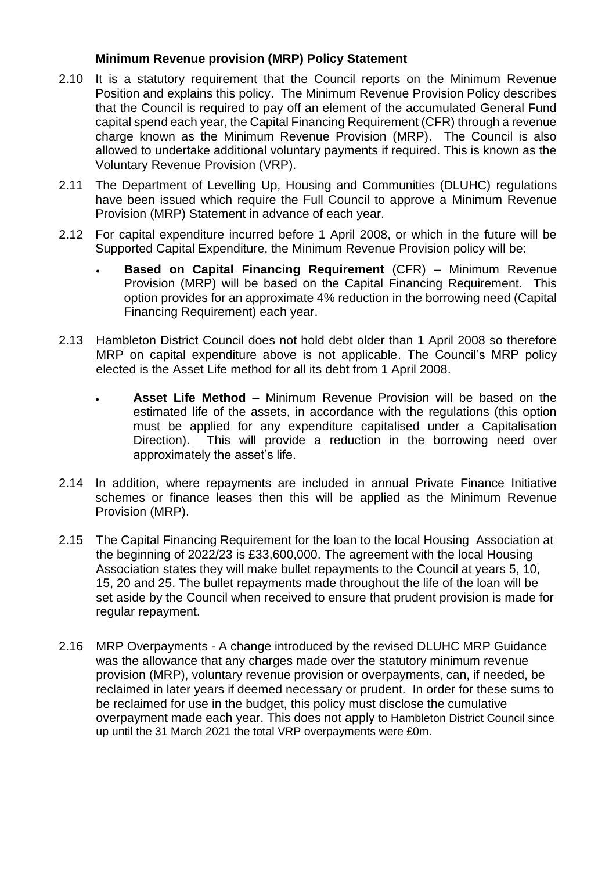#### **Minimum Revenue provision (MRP) Policy Statement**

- 2.10 It is a statutory requirement that the Council reports on the Minimum Revenue Position and explains this policy. The Minimum Revenue Provision Policy describes that the Council is required to pay off an element of the accumulated General Fund capital spend each year, the Capital Financing Requirement (CFR) through a revenue charge known as the Minimum Revenue Provision (MRP). The Council is also allowed to undertake additional voluntary payments if required. This is known as the Voluntary Revenue Provision (VRP).
- 2.11 The Department of Levelling Up, Housing and Communities (DLUHC) regulations have been issued which require the Full Council to approve a Minimum Revenue Provision (MRP) Statement in advance of each year.
- 2.12 For capital expenditure incurred before 1 April 2008, or which in the future will be Supported Capital Expenditure, the Minimum Revenue Provision policy will be:
	- **Based on Capital Financing Requirement** (CFR) Minimum Revenue Provision (MRP) will be based on the Capital Financing Requirement. This option provides for an approximate 4% reduction in the borrowing need (Capital Financing Requirement) each year.
- 2.13 Hambleton District Council does not hold debt older than 1 April 2008 so therefore MRP on capital expenditure above is not applicable. The Council's MRP policy elected is the Asset Life method for all its debt from 1 April 2008.
	- **Asset Life Method** Minimum Revenue Provision will be based on the estimated life of the assets, in accordance with the regulations (this option must be applied for any expenditure capitalised under a Capitalisation Direction). This will provide a reduction in the borrowing need over approximately the asset's life.
- 2.14 In addition, where repayments are included in annual Private Finance Initiative schemes or finance leases then this will be applied as the Minimum Revenue Provision (MRP).
- 2.15 The Capital Financing Requirement for the loan to the local Housing Association at the beginning of 2022/23 is £33,600,000. The agreement with the local Housing Association states they will make bullet repayments to the Council at years 5, 10, 15, 20 and 25. The bullet repayments made throughout the life of the loan will be set aside by the Council when received to ensure that prudent provision is made for regular repayment.
- 2.16 MRP Overpayments A change introduced by the revised DLUHC MRP Guidance was the allowance that any charges made over the statutory minimum revenue provision (MRP), voluntary revenue provision or overpayments, can, if needed, be reclaimed in later years if deemed necessary or prudent. In order for these sums to be reclaimed for use in the budget, this policy must disclose the cumulative overpayment made each year. This does not apply to Hambleton District Council since up until the 31 March 2021 the total VRP overpayments were £0m.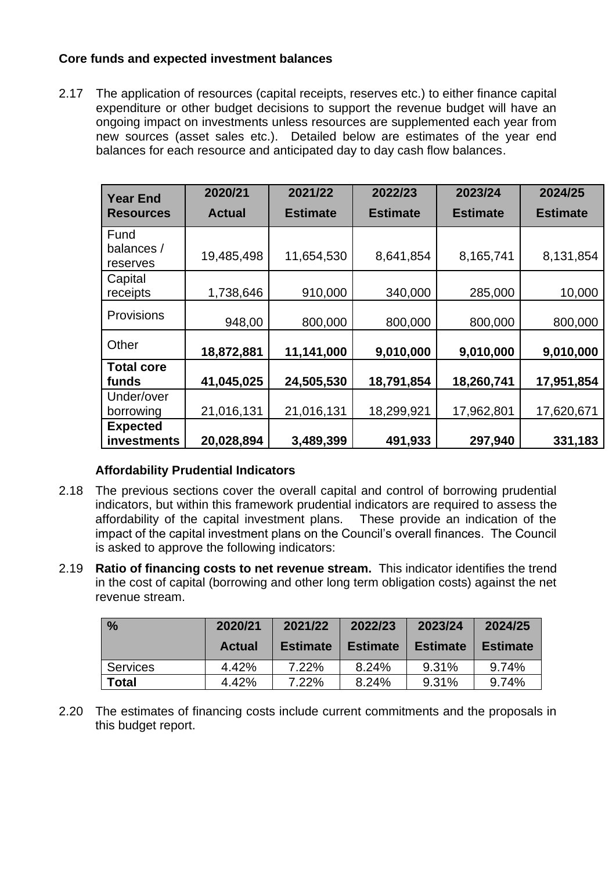### **Core funds and expected investment balances**

2.17 The application of resources (capital receipts, reserves etc.) to either finance capital expenditure or other budget decisions to support the revenue budget will have an ongoing impact on investments unless resources are supplemented each year from new sources (asset sales etc.). Detailed below are estimates of the year end balances for each resource and anticipated day to day cash flow balances.

| <b>Year End</b>                | 2020/21       | 2021/22         | 2022/23         | 2023/24         | 2024/25         |
|--------------------------------|---------------|-----------------|-----------------|-----------------|-----------------|
| <b>Resources</b>               | <b>Actual</b> | <b>Estimate</b> | <b>Estimate</b> | <b>Estimate</b> | <b>Estimate</b> |
| Fund<br>balances /<br>reserves | 19,485,498    | 11,654,530      | 8,641,854       | 8,165,741       | 8,131,854       |
| Capital<br>receipts            | 1,738,646     | 910,000         | 340,000         | 285,000         | 10,000          |
| <b>Provisions</b>              | 948,00        | 800,000         | 800,000         | 800,000         | 800,000         |
| Other                          | 18,872,881    | 11,141,000      | 9,010,000       | 9,010,000       | 9,010,000       |
| <b>Total core</b><br>funds     | 41,045,025    | 24,505,530      | 18,791,854      | 18,260,741      | 17,951,854      |
| Under/over<br>borrowing        | 21,016,131    | 21,016,131      | 18,299,921      | 17,962,801      | 17,620,671      |
| <b>Expected</b><br>investments | 20,028,894    | 3,489,399       | 491,933         | 297,940         | 331,183         |

### **Affordability Prudential Indicators**

- 2.18 The previous sections cover the overall capital and control of borrowing prudential indicators, but within this framework prudential indicators are required to assess the affordability of the capital investment plans. These provide an indication of the impact of the capital investment plans on the Council's overall finances. The Council is asked to approve the following indicators:
- 2.19 **Ratio of financing costs to net revenue stream.** This indicator identifies the trend in the cost of capital (borrowing and other long term obligation costs) against the net revenue stream.

| $\frac{9}{6}$   | 2020/21       | 2021/22         | 2022/23         | 2023/24         | 2024/25         |
|-----------------|---------------|-----------------|-----------------|-----------------|-----------------|
|                 | <b>Actual</b> | <b>Estimate</b> | <b>Estimate</b> | <b>Estimate</b> | <b>Estimate</b> |
| <b>Services</b> | 4.42%         | 7.22%           | 8.24%           | $9.31\%$        | 9.74%           |
| <b>Total</b>    | 4.42%         | 7.22%           | 8.24%           | 9.31%           | 9.74%           |

2.20 The estimates of financing costs include current commitments and the proposals in this budget report.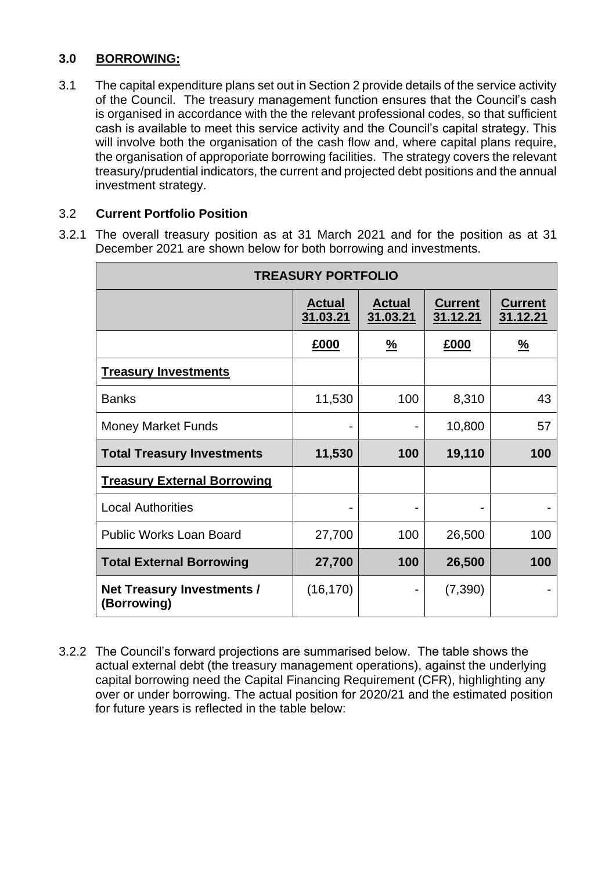## **3.0 BORROWING:**

3.1 The capital expenditure plans set out in Section 2 provide details of the service activity of the Council. The treasury management function ensures that the Council's cash is organised in accordance with the the relevant professional codes, so that sufficient cash is available to meet this service activity and the Council's capital strategy. This will involve both the organisation of the cash flow and, where capital plans require, the organisation of approporiate borrowing facilities. The strategy covers the relevant treasury/prudential indicators, the current and projected debt positions and the annual investment strategy.

### 3.2 **Current Portfolio Position**

3.2.1 The overall treasury position as at 31 March 2021 and for the position as at 31 December 2021 are shown below for both borrowing and investments.

| <b>TREASURY PORTFOLIO</b>                        |                           |                           |                            |                            |  |  |
|--------------------------------------------------|---------------------------|---------------------------|----------------------------|----------------------------|--|--|
|                                                  | <b>Actual</b><br>31.03.21 | <b>Actual</b><br>31.03.21 | <b>Current</b><br>31.12.21 | <b>Current</b><br>31.12.21 |  |  |
|                                                  | £000                      | $\frac{9}{6}$             | £000                       | $\frac{9}{6}$              |  |  |
| <b>Treasury Investments</b>                      |                           |                           |                            |                            |  |  |
| <b>Banks</b>                                     | 11,530                    | 100                       | 8,310                      | 43                         |  |  |
| <b>Money Market Funds</b>                        |                           |                           | 10,800                     | 57                         |  |  |
| <b>Total Treasury Investments</b>                | 11,530                    | 100                       | 19,110                     | 100                        |  |  |
| <b>Treasury External Borrowing</b>               |                           |                           |                            |                            |  |  |
| <b>Local Authorities</b>                         |                           |                           |                            |                            |  |  |
| <b>Public Works Loan Board</b>                   | 27,700                    | 100                       | 26,500                     | 100                        |  |  |
| <b>Total External Borrowing</b>                  | 27,700                    | 100                       | 26,500                     | 100                        |  |  |
| <b>Net Treasury Investments /</b><br>(Borrowing) | (16, 170)                 |                           | (7, 390)                   |                            |  |  |

3.2.2 The Council's forward projections are summarised below. The table shows the actual external debt (the treasury management operations), against the underlying capital borrowing need the Capital Financing Requirement (CFR), highlighting any over or under borrowing. The actual position for 2020/21 and the estimated position for future years is reflected in the table below: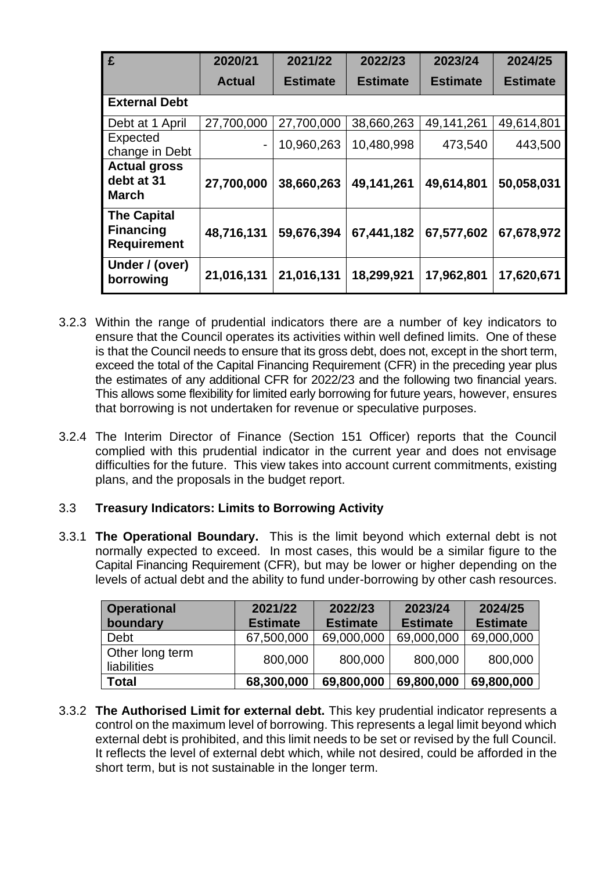| £                                                            | 2020/21       | 2021/22         | 2022/23         | 2023/24         | 2024/25         |
|--------------------------------------------------------------|---------------|-----------------|-----------------|-----------------|-----------------|
|                                                              | <b>Actual</b> | <b>Estimate</b> | <b>Estimate</b> | <b>Estimate</b> | <b>Estimate</b> |
| <b>External Debt</b>                                         |               |                 |                 |                 |                 |
| Debt at 1 April                                              | 27,700,000    | 27,700,000      | 38,660,263      | 49,141,261      | 49,614,801      |
| Expected<br>change in Debt                                   | -             | 10,960,263      | 10,480,998      | 473,540         | 443,500         |
| <b>Actual gross</b><br>debt at 31<br><b>March</b>            | 27,700,000    | 38,660,263      | 49,141,261      | 49,614,801      | 50,058,031      |
| <b>The Capital</b><br><b>Financing</b><br><b>Requirement</b> | 48,716,131    | 59,676,394      | 67,441,182      | 67,577,602      | 67,678,972      |
| Under / (over)<br>borrowing                                  | 21,016,131    | 21,016,131      | 18,299,921      | 17,962,801      | 17,620,671      |

- 3.2.3 Within the range of prudential indicators there are a number of key indicators to ensure that the Council operates its activities within well defined limits. One of these is that the Council needs to ensure that its gross debt, does not, except in the short term, exceed the total of the Capital Financing Requirement (CFR) in the preceding year plus the estimates of any additional CFR for 2022/23 and the following two financial years. This allows some flexibility for limited early borrowing for future years, however, ensures that borrowing is not undertaken for revenue or speculative purposes.
- 3.2.4 The Interim Director of Finance (Section 151 Officer) reports that the Council complied with this prudential indicator in the current year and does not envisage difficulties for the future. This view takes into account current commitments, existing plans, and the proposals in the budget report.

#### 3.3 **Treasury Indicators: Limits to Borrowing Activity**

3.3.1 **The Operational Boundary.** This is the limit beyond which external debt is not normally expected to exceed. In most cases, this would be a similar figure to the Capital Financing Requirement (CFR), but may be lower or higher depending on the levels of actual debt and the ability to fund under-borrowing by other cash resources.

| <b>Operational</b><br>boundary | 2021/22<br><b>Estimate</b> | 2022/23<br><b>Estimate</b> | 2023/24<br><b>Estimate</b> | 2024/25<br><b>Estimate</b> |
|--------------------------------|----------------------------|----------------------------|----------------------------|----------------------------|
| Debt                           | 67,500,000                 | 69,000,000                 | 69,000,000                 | 69,000,000                 |
| Other long term<br>liabilities | 800,000                    | 800,000                    | 800,000                    | 800,000                    |
| <b>Total</b>                   | 68,300,000                 | 69,800,000                 | 69,800,000                 | 69,800,000                 |

3.3.2 **The Authorised Limit for external debt.** This key prudential indicator represents a control on the maximum level of borrowing. This represents a legal limit beyond which external debt is prohibited, and this limit needs to be set or revised by the full Council. It reflects the level of external debt which, while not desired, could be afforded in the short term, but is not sustainable in the longer term.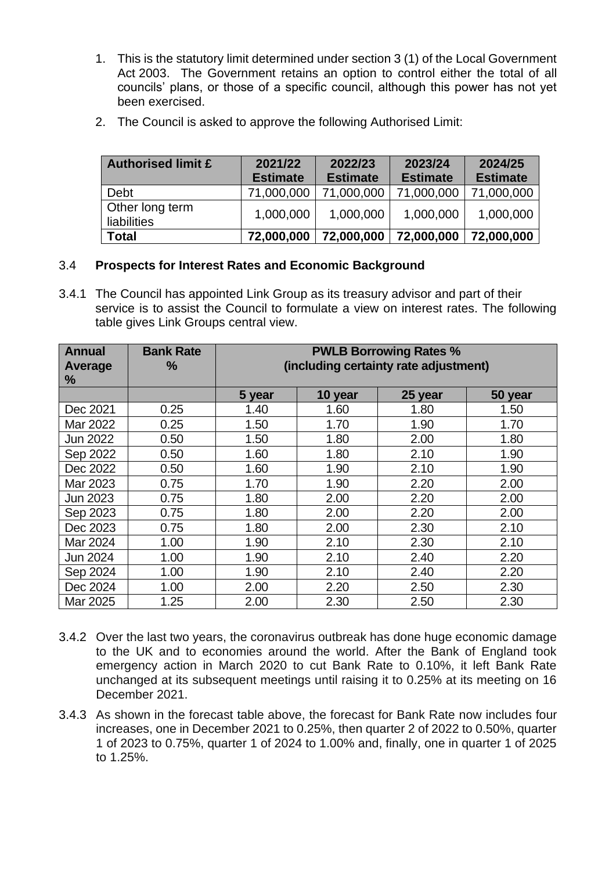- 1. This is the statutory limit determined under section 3 (1) of the Local Government Act 2003. The Government retains an option to control either the total of all councils' plans, or those of a specific council, although this power has not yet been exercised.
- 2. The Council is asked to approve the following Authorised Limit:

| <b>Authorised limit £</b>             | 2021/22<br><b>Estimate</b> | 2022/23<br><b>Estimate</b> | 2023/24<br><b>Estimate</b> | 2024/25<br><b>Estimate</b> |
|---------------------------------------|----------------------------|----------------------------|----------------------------|----------------------------|
| Debt                                  | 71,000,000                 | 71,000,000                 | 71,000,000                 | 71,000,000                 |
| Other long term<br><b>liabilities</b> | 1,000,000                  | 1,000,000                  | 1,000,000                  | 1,000,000                  |
| Total                                 | 72,000,000                 | 72,000,000                 | 72,000,000                 | 72,000,000                 |

#### 3.4 **Prospects for Interest Rates and Economic Background**

3.4.1 The Council has appointed Link Group as its treasury advisor and part of their service is to assist the Council to formulate a view on interest rates. The following table gives Link Groups central view.

| <b>Annual</b><br>Average<br>% | <b>Bank Rate</b><br>$\frac{0}{0}$ | <b>PWLB Borrowing Rates %</b><br>(including certainty rate adjustment) |         |         |         |
|-------------------------------|-----------------------------------|------------------------------------------------------------------------|---------|---------|---------|
|                               |                                   | 5 year                                                                 | 10 year | 25 year | 50 year |
| Dec 2021                      | 0.25                              | 1.40                                                                   | 1.60    | 1.80    | 1.50    |
| Mar 2022                      | 0.25                              | 1.50                                                                   | 1.70    | 1.90    | 1.70    |
| Jun 2022                      | 0.50                              | 1.50                                                                   | 1.80    | 2.00    | 1.80    |
| Sep 2022                      | 0.50                              | 1.60                                                                   | 1.80    | 2.10    | 1.90    |
| Dec 2022                      | 0.50                              | 1.60                                                                   | 1.90    | 2.10    | 1.90    |
| Mar 2023                      | 0.75                              | 1.70                                                                   | 1.90    | 2.20    | 2.00    |
| Jun 2023                      | 0.75                              | 1.80                                                                   | 2.00    | 2.20    | 2.00    |
| Sep 2023                      | 0.75                              | 1.80                                                                   | 2.00    | 2.20    | 2.00    |
| Dec 2023                      | 0.75                              | 1.80                                                                   | 2.00    | 2.30    | 2.10    |
| Mar 2024                      | 1.00                              | 1.90                                                                   | 2.10    | 2.30    | 2.10    |
| Jun 2024                      | 1.00                              | 1.90                                                                   | 2.10    | 2.40    | 2.20    |
| Sep 2024                      | 1.00                              | 1.90                                                                   | 2.10    | 2.40    | 2.20    |
| Dec 2024                      | 1.00                              | 2.00                                                                   | 2.20    | 2.50    | 2.30    |
| Mar 2025                      | 1.25                              | 2.00                                                                   | 2.30    | 2.50    | 2.30    |

- 3.4.2 Over the last two years, the coronavirus outbreak has done huge economic damage to the UK and to economies around the world. After the Bank of England took emergency action in March 2020 to cut Bank Rate to 0.10%, it left Bank Rate unchanged at its subsequent meetings until raising it to 0.25% at its meeting on 16 December 2021.
- 3.4.3 As shown in the forecast table above, the forecast for Bank Rate now includes four increases, one in December 2021 to 0.25%, then quarter 2 of 2022 to 0.50%, quarter 1 of 2023 to 0.75%, quarter 1 of 2024 to 1.00% and, finally, one in quarter 1 of 2025 to 1.25%.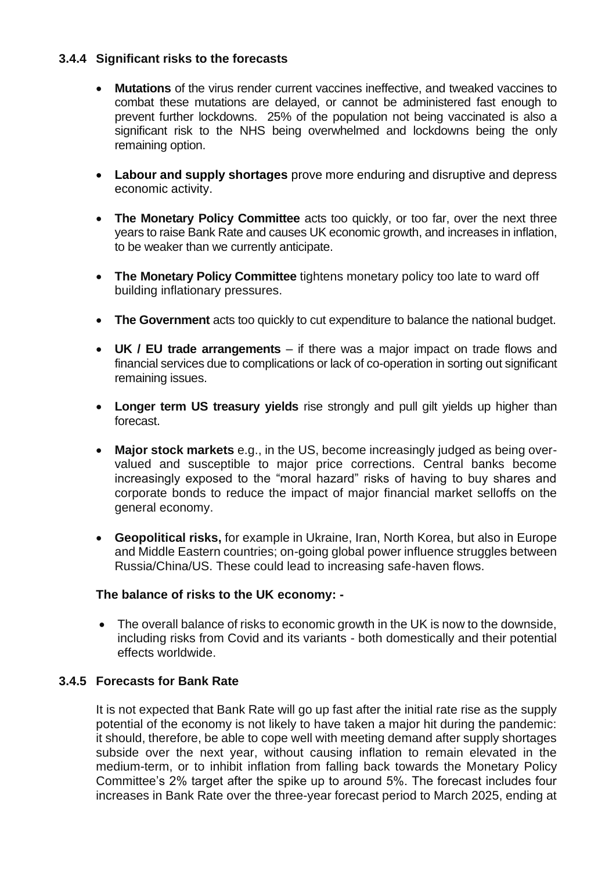### **3.4.4 Significant risks to the forecasts**

- **Mutations** of the virus render current vaccines ineffective, and tweaked vaccines to combat these mutations are delayed, or cannot be administered fast enough to prevent further lockdowns. 25% of the population not being vaccinated is also a significant risk to the NHS being overwhelmed and lockdowns being the only remaining option.
- **Labour and supply shortages** prove more enduring and disruptive and depress economic activity.
- **The Monetary Policy Committee** acts too quickly, or too far, over the next three years to raise Bank Rate and causes UK economic growth, and increases in inflation, to be weaker than we currently anticipate.
- **The Monetary Policy Committee** tightens monetary policy too late to ward off building inflationary pressures.
- **The Government** acts too quickly to cut expenditure to balance the national budget.
- **UK / EU trade arrangements**  if there was a major impact on trade flows and financial services due to complications or lack of co-operation in sorting out significant remaining issues.
- **Longer term US treasury yields** rise strongly and pull gilt yields up higher than forecast.
- **Major stock markets** e.g., in the US, become increasingly judged as being overvalued and susceptible to major price corrections. Central banks become increasingly exposed to the "moral hazard" risks of having to buy shares and corporate bonds to reduce the impact of major financial market selloffs on the general economy.
- **Geopolitical risks,** for example in Ukraine, Iran, North Korea, but also in Europe and Middle Eastern countries; on-going global power influence struggles between Russia/China/US. These could lead to increasing safe-haven flows.

#### **The balance of risks to the UK economy: -**

• The overall balance of risks to economic growth in the UK is now to the downside, including risks from Covid and its variants - both domestically and their potential effects worldwide.

#### **3.4.5 Forecasts for Bank Rate**

It is not expected that Bank Rate will go up fast after the initial rate rise as the supply potential of the economy is not likely to have taken a major hit during the pandemic: it should, therefore, be able to cope well with meeting demand after supply shortages subside over the next year, without causing inflation to remain elevated in the medium-term, or to inhibit inflation from falling back towards the Monetary Policy Committee's 2% target after the spike up to around 5%. The forecast includes four increases in Bank Rate over the three-year forecast period to March 2025, ending at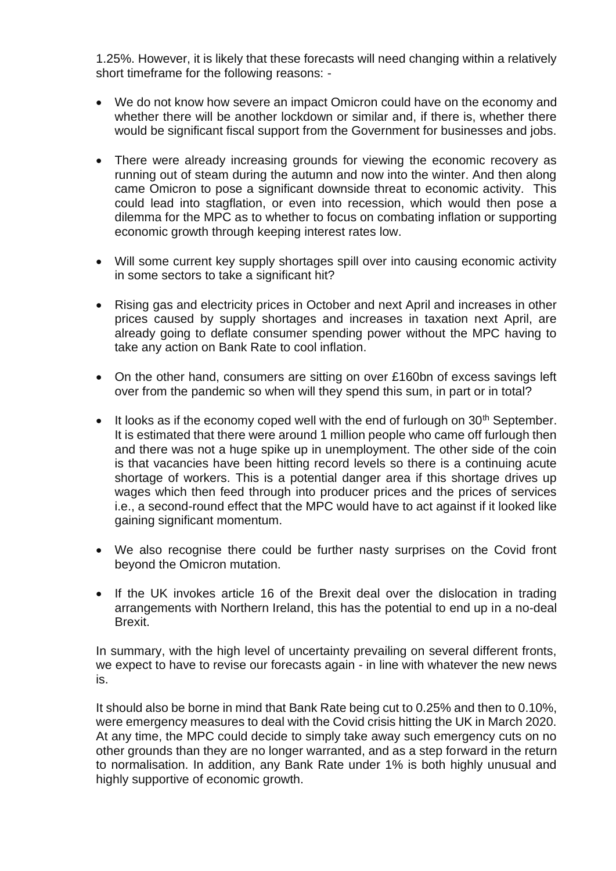1.25%. However, it is likely that these forecasts will need changing within a relatively short timeframe for the following reasons: -

- We do not know how severe an impact Omicron could have on the economy and whether there will be another lockdown or similar and, if there is, whether there would be significant fiscal support from the Government for businesses and jobs.
- There were already increasing grounds for viewing the economic recovery as running out of steam during the autumn and now into the winter. And then along came Omicron to pose a significant downside threat to economic activity. This could lead into stagflation, or even into recession, which would then pose a dilemma for the MPC as to whether to focus on combating inflation or supporting economic growth through keeping interest rates low.
- Will some current key supply shortages spill over into causing economic activity in some sectors to take a significant hit?
- Rising gas and electricity prices in October and next April and increases in other prices caused by supply shortages and increases in taxation next April, are already going to deflate consumer spending power without the MPC having to take any action on Bank Rate to cool inflation.
- On the other hand, consumers are sitting on over £160bn of excess savings left over from the pandemic so when will they spend this sum, in part or in total?
- It looks as if the economy coped well with the end of furlough on  $30<sup>th</sup>$  September. It is estimated that there were around 1 million people who came off furlough then and there was not a huge spike up in unemployment. The other side of the coin is that vacancies have been hitting record levels so there is a continuing acute shortage of workers. This is a potential danger area if this shortage drives up wages which then feed through into producer prices and the prices of services i.e., a second-round effect that the MPC would have to act against if it looked like gaining significant momentum.
- We also recognise there could be further nasty surprises on the Covid front beyond the Omicron mutation.
- If the UK invokes article 16 of the Brexit deal over the dislocation in trading arrangements with Northern Ireland, this has the potential to end up in a no-deal Brexit.

In summary, with the high level of uncertainty prevailing on several different fronts, we expect to have to revise our forecasts again - in line with whatever the new news is.

It should also be borne in mind that Bank Rate being cut to 0.25% and then to 0.10%, were emergency measures to deal with the Covid crisis hitting the UK in March 2020. At any time, the MPC could decide to simply take away such emergency cuts on no other grounds than they are no longer warranted, and as a step forward in the return to normalisation. In addition, any Bank Rate under 1% is both highly unusual and highly supportive of economic growth.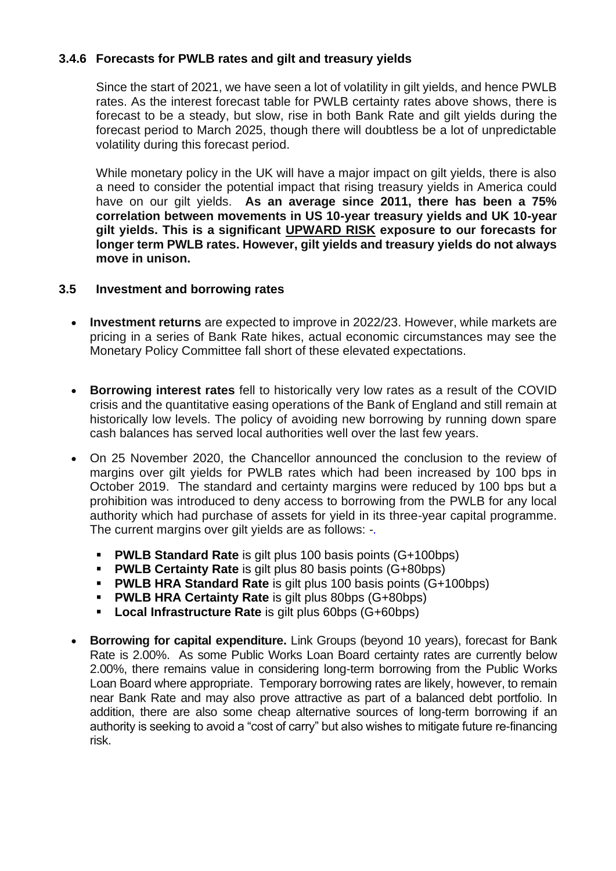### **3.4.6 Forecasts for PWLB rates and gilt and treasury yields**

Since the start of 2021, we have seen a lot of volatility in gilt yields, and hence PWLB rates. As the interest forecast table for PWLB certainty rates above shows, there is forecast to be a steady, but slow, rise in both Bank Rate and gilt yields during the forecast period to March 2025, though there will doubtless be a lot of unpredictable volatility during this forecast period.

While monetary policy in the UK will have a major impact on gilt yields, there is also a need to consider the potential impact that rising treasury yields in America could have on our gilt yields. **As an average since 2011, there has been a 75% correlation between movements in US 10-year treasury yields and UK 10-year gilt yields. This is a significant UPWARD RISK exposure to our forecasts for longer term PWLB rates. However, gilt yields and treasury yields do not always move in unison.**

#### **3.5 Investment and borrowing rates**

- **Investment returns** are expected to improve in 2022/23. However, while markets are pricing in a series of Bank Rate hikes, actual economic circumstances may see the Monetary Policy Committee fall short of these elevated expectations.
- **Borrowing interest rates** fell to historically very low rates as a result of the COVID crisis and the quantitative easing operations of the Bank of England and still remain at historically low levels. The policy of avoiding new borrowing by running down spare cash balances has served local authorities well over the last few years.
- On 25 November 2020, the Chancellor announced the conclusion to the review of margins over gilt yields for PWLB rates which had been increased by 100 bps in October 2019. The standard and certainty margins were reduced by 100 bps but a prohibition was introduced to deny access to borrowing from the PWLB for any local authority which had purchase of assets for yield in its three-year capital programme. The current margins over gilt yields are as follows: -*.*
	- **PWLB Standard Rate** is gilt plus 100 basis points (G+100bps)
	- **PWLB Certainty Rate** is gilt plus 80 basis points (G+80bps)
	- **PWLB HRA Standard Rate** is gilt plus 100 basis points (G+100bps)
	- **PWLB HRA Certainty Rate** is gilt plus 80bps (G+80bps)
	- **Local Infrastructure Rate** is gilt plus 60bps (G+60bps)
- **Borrowing for capital expenditure.** Link Groups (beyond 10 years), forecast for Bank Rate is 2.00%. As some Public Works Loan Board certainty rates are currently below 2.00%, there remains value in considering long-term borrowing from the Public Works Loan Board where appropriate. Temporary borrowing rates are likely, however, to remain near Bank Rate and may also prove attractive as part of a balanced debt portfolio. In addition, there are also some cheap alternative sources of long-term borrowing if an authority is seeking to avoid a "cost of carry" but also wishes to mitigate future re-financing risk.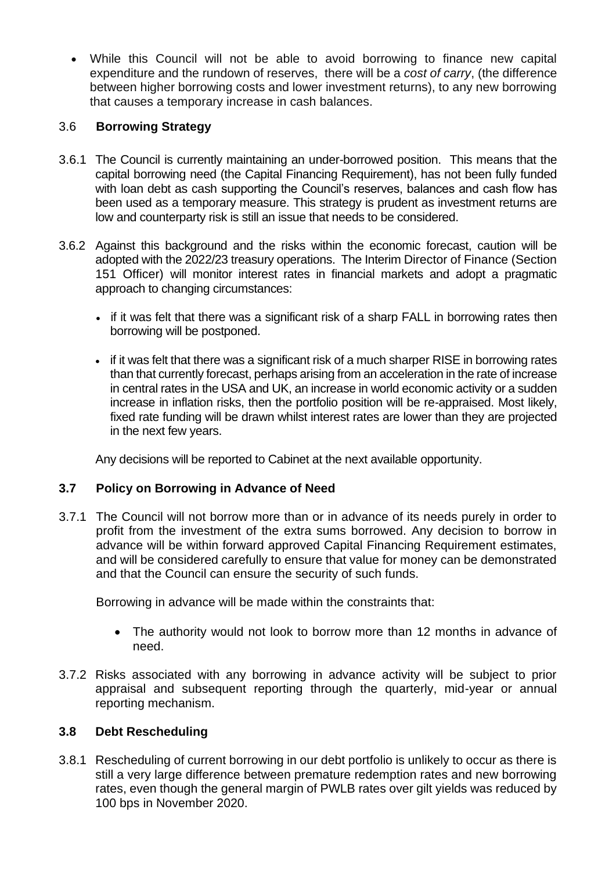• While this Council will not be able to avoid borrowing to finance new capital expenditure and the rundown of reserves, there will be a *cost of carry*, (the difference between higher borrowing costs and lower investment returns), to any new borrowing that causes a temporary increase in cash balances.

### 3.6 **Borrowing Strategy**

- 3.6.1 The Council is currently maintaining an under-borrowed position. This means that the capital borrowing need (the Capital Financing Requirement), has not been fully funded with loan debt as cash supporting the Council's reserves, balances and cash flow has been used as a temporary measure. This strategy is prudent as investment returns are low and counterparty risk is still an issue that needs to be considered.
- 3.6.2 Against this background and the risks within the economic forecast, caution will be adopted with the 2022/23 treasury operations. The Interim Director of Finance (Section 151 Officer) will monitor interest rates in financial markets and adopt a pragmatic approach to changing circumstances:
	- if it was felt that there was a significant risk of a sharp FALL in borrowing rates then borrowing will be postponed.
	- if it was felt that there was a significant risk of a much sharper RISE in borrowing rates than that currently forecast, perhaps arising from an acceleration in the rate of increase in central rates in the USA and UK, an increase in world economic activity or a sudden increase in inflation risks, then the portfolio position will be re-appraised. Most likely, fixed rate funding will be drawn whilst interest rates are lower than they are projected in the next few years.

Any decisions will be reported to Cabinet at the next available opportunity.

# **3.7 Policy on Borrowing in Advance of Need**

3.7.1 The Council will not borrow more than or in advance of its needs purely in order to profit from the investment of the extra sums borrowed. Any decision to borrow in advance will be within forward approved Capital Financing Requirement estimates, and will be considered carefully to ensure that value for money can be demonstrated and that the Council can ensure the security of such funds.

Borrowing in advance will be made within the constraints that:

- The authority would not look to borrow more than 12 months in advance of need.
- 3.7.2 Risks associated with any borrowing in advance activity will be subject to prior appraisal and subsequent reporting through the quarterly, mid-year or annual reporting mechanism.

### **3.8 Debt Rescheduling**

3.8.1 Rescheduling of current borrowing in our debt portfolio is unlikely to occur as there is still a very large difference between premature redemption rates and new borrowing rates, even though the general margin of PWLB rates over gilt yields was reduced by 100 bps in November 2020.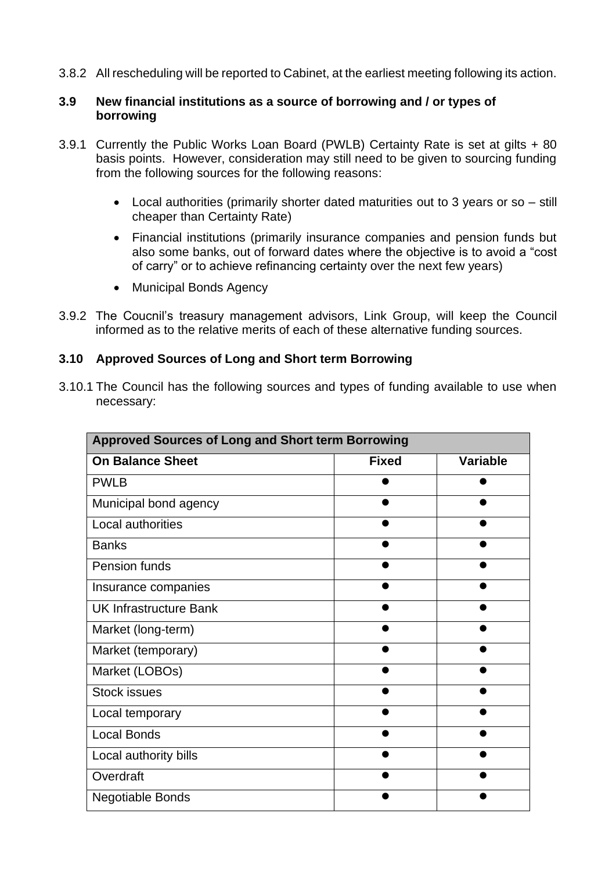3.8.2 All rescheduling will be reported to Cabinet, at the earliest meeting following its action.

#### **3.9 New financial institutions as a source of borrowing and / or types of borrowing**

- 3.9.1 Currently the Public Works Loan Board (PWLB) Certainty Rate is set at gilts + 80 basis points. However, consideration may still need to be given to sourcing funding from the following sources for the following reasons:
	- Local authorities (primarily shorter dated maturities out to 3 years or so still cheaper than Certainty Rate)
	- Financial institutions (primarily insurance companies and pension funds but also some banks, out of forward dates where the objective is to avoid a "cost of carry" or to achieve refinancing certainty over the next few years)
	- Municipal Bonds Agency
- 3.9.2 The Coucnil's treasury management advisors, Link Group, will keep the Council informed as to the relative merits of each of these alternative funding sources.

#### **3.10 Approved Sources of Long and Short term Borrowing**

3.10.1 The Council has the following sources and types of funding available to use when necessary:

| <b>Approved Sources of Long and Short term Borrowing</b> |              |                 |  |  |  |
|----------------------------------------------------------|--------------|-----------------|--|--|--|
| <b>On Balance Sheet</b>                                  | <b>Fixed</b> | <b>Variable</b> |  |  |  |
| <b>PWLB</b>                                              |              |                 |  |  |  |
| Municipal bond agency                                    |              |                 |  |  |  |
| Local authorities                                        |              |                 |  |  |  |
| <b>Banks</b>                                             |              |                 |  |  |  |
| Pension funds                                            |              |                 |  |  |  |
| Insurance companies                                      |              |                 |  |  |  |
| UK Infrastructure Bank                                   |              |                 |  |  |  |
| Market (long-term)                                       |              |                 |  |  |  |
| Market (temporary)                                       |              |                 |  |  |  |
| Market (LOBOs)                                           |              |                 |  |  |  |
| <b>Stock issues</b>                                      |              |                 |  |  |  |
| Local temporary                                          |              |                 |  |  |  |
| <b>Local Bonds</b>                                       |              |                 |  |  |  |
| Local authority bills                                    |              |                 |  |  |  |
| Overdraft                                                |              |                 |  |  |  |
| <b>Negotiable Bonds</b>                                  |              |                 |  |  |  |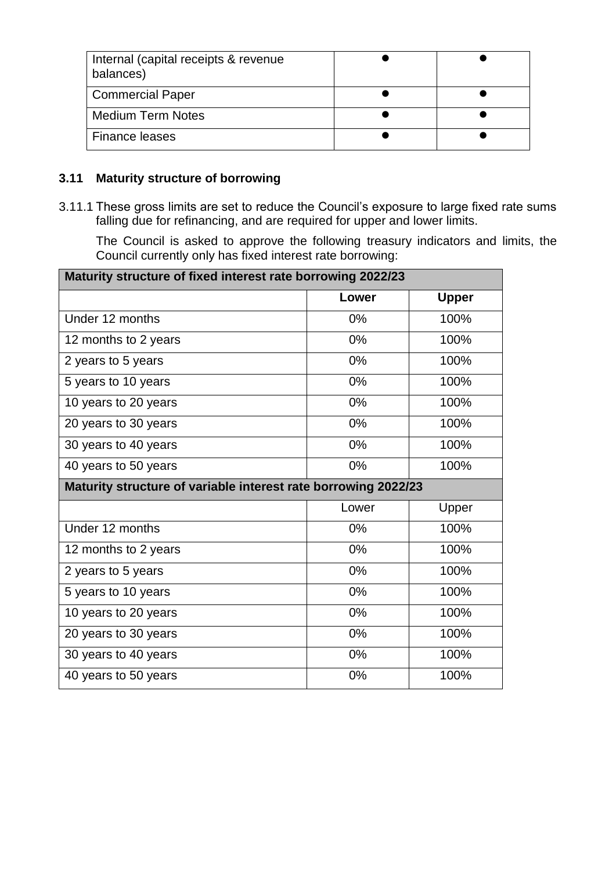| Internal (capital receipts & revenue<br>balances) |  |
|---------------------------------------------------|--|
| <b>Commercial Paper</b>                           |  |
| <b>Medium Term Notes</b>                          |  |
| Finance leases                                    |  |

### **3.11 Maturity structure of borrowing**

3.11.1 These gross limits are set to reduce the Council's exposure to large fixed rate sums falling due for refinancing, and are required for upper and lower limits.

The Council is asked to approve the following treasury indicators and limits, the Council currently only has fixed interest rate borrowing:

| Maturity structure of fixed interest rate borrowing 2022/23    |       |              |  |  |  |
|----------------------------------------------------------------|-------|--------------|--|--|--|
|                                                                | Lower | <b>Upper</b> |  |  |  |
| Under 12 months                                                | 0%    | 100%         |  |  |  |
| 12 months to 2 years                                           | 0%    | 100%         |  |  |  |
| 2 years to 5 years                                             | $0\%$ | 100%         |  |  |  |
| 5 years to 10 years                                            | 0%    | 100%         |  |  |  |
| 10 years to 20 years                                           | 0%    | 100%         |  |  |  |
| 20 years to 30 years                                           | 0%    | 100%         |  |  |  |
| 30 years to 40 years                                           | 0%    | 100%         |  |  |  |
| 40 years to 50 years                                           | 0%    | 100%         |  |  |  |
| Maturity structure of variable interest rate borrowing 2022/23 |       |              |  |  |  |
|                                                                | Lower | Upper        |  |  |  |
| Under 12 months                                                | 0%    | 100%         |  |  |  |
| 12 months to 2 years                                           | 0%    | 100%         |  |  |  |
| 2 years to 5 years                                             | 0%    | 100%         |  |  |  |
| 5 years to 10 years                                            | 0%    | 100%         |  |  |  |
| 10 years to 20 years                                           | 0%    | 100%         |  |  |  |
| 20 years to 30 years                                           | 0%    | 100%         |  |  |  |
| 30 years to 40 years                                           | 0%    | 100%         |  |  |  |
| 40 years to 50 years                                           | 0%    | 100%         |  |  |  |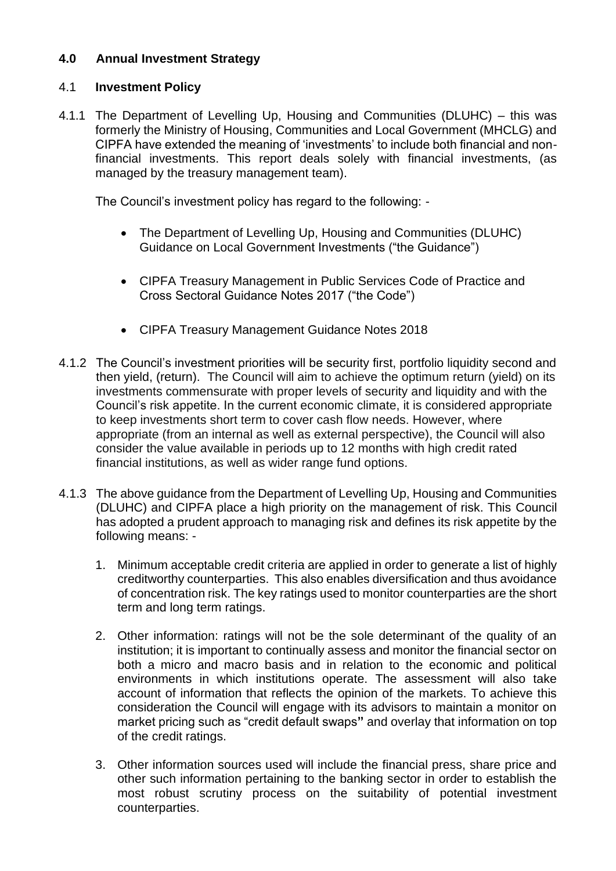### **4.0 Annual Investment Strategy**

### 4.1 **Investment Policy**

4.1.1 The Department of Levelling Up, Housing and Communities (DLUHC) – this was formerly the Ministry of Housing, Communities and Local Government (MHCLG) and CIPFA have extended the meaning of 'investments' to include both financial and nonfinancial investments. This report deals solely with financial investments, (as managed by the treasury management team).

The Council's investment policy has regard to the following: -

- The Department of Levelling Up, Housing and Communities (DLUHC) Guidance on Local Government Investments ("the Guidance")
- CIPFA Treasury Management in Public Services Code of Practice and Cross Sectoral Guidance Notes 2017 ("the Code")
- CIPFA Treasury Management Guidance Notes 2018
- 4.1.2 The Council's investment priorities will be security first, portfolio liquidity second and then yield, (return). The Council will aim to achieve the optimum return (yield) on its investments commensurate with proper levels of security and liquidity and with the Council's risk appetite. In the current economic climate, it is considered appropriate to keep investments short term to cover cash flow needs. However, where appropriate (from an internal as well as external perspective), the Council will also consider the value available in periods up to 12 months with high credit rated financial institutions, as well as wider range fund options.
- 4.1.3 The above guidance from the Department of Levelling Up, Housing and Communities (DLUHC) and CIPFA place a high priority on the management of risk. This Council has adopted a prudent approach to managing risk and defines its risk appetite by the following means: -
	- 1. Minimum acceptable credit criteria are applied in order to generate a list of highly creditworthy counterparties. This also enables diversification and thus avoidance of concentration risk. The key ratings used to monitor counterparties are the short term and long term ratings.
	- 2. Other information: ratings will not be the sole determinant of the quality of an institution; it is important to continually assess and monitor the financial sector on both a micro and macro basis and in relation to the economic and political environments in which institutions operate. The assessment will also take account of information that reflects the opinion of the markets. To achieve this consideration the Council will engage with its advisors to maintain a monitor on market pricing such as "credit default swaps**"** and overlay that information on top of the credit ratings.
	- 3. Other information sources used will include the financial press, share price and other such information pertaining to the banking sector in order to establish the most robust scrutiny process on the suitability of potential investment counterparties.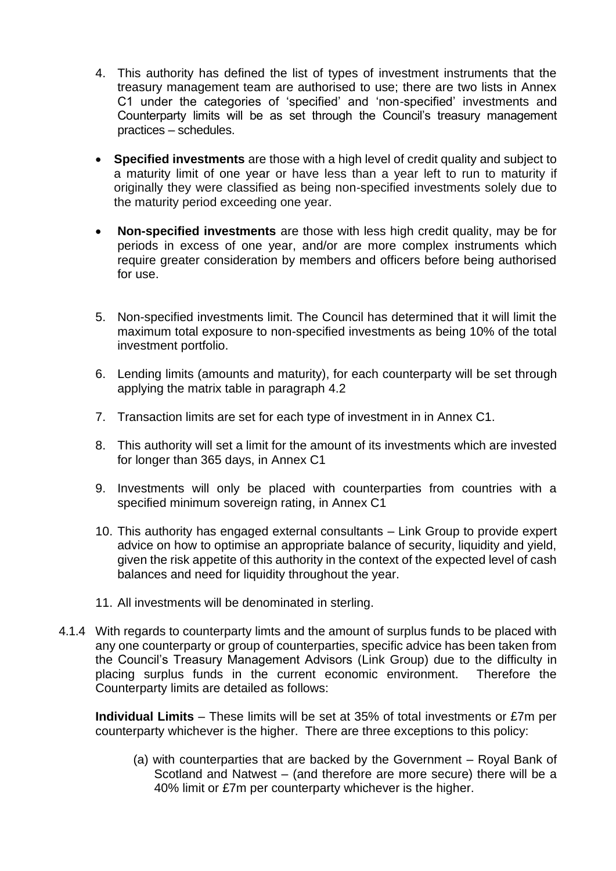- 4. This authority has defined the list of types of investment instruments that the treasury management team are authorised to use; there are two lists in Annex C1 under the categories of 'specified' and 'non-specified' investments and Counterparty limits will be as set through the Council's treasury management practices – schedules.
- **Specified investments** are those with a high level of credit quality and subject to a maturity limit of one year or have less than a year left to run to maturity if originally they were classified as being non-specified investments solely due to the maturity period exceeding one year.
- **Non-specified investments** are those with less high credit quality, may be for periods in excess of one year, and/or are more complex instruments which require greater consideration by members and officers before being authorised for use.
- 5. Non-specified investments limit. The Council has determined that it will limit the maximum total exposure to non-specified investments as being 10% of the total investment portfolio.
- 6. Lending limits (amounts and maturity), for each counterparty will be set through applying the matrix table in paragraph 4.2
- 7. Transaction limits are set for each type of investment in in Annex C1.
- 8. This authority will set a limit for the amount of its investments which are invested for longer than 365 days, in Annex C1
- 9. Investments will only be placed with counterparties from countries with a specified minimum sovereign rating, in Annex C1
- 10. This authority has engaged external consultants Link Group to provide expert advice on how to optimise an appropriate balance of security, liquidity and yield, given the risk appetite of this authority in the context of the expected level of cash balances and need for liquidity throughout the year.
- 11. All investments will be denominated in sterling.
- 4.1.4 With regards to counterparty limts and the amount of surplus funds to be placed with any one counterparty or group of counterparties, specific advice has been taken from the Council's Treasury Management Advisors (Link Group) due to the difficulty in placing surplus funds in the current economic environment. Therefore the Counterparty limits are detailed as follows:

**Individual Limits** – These limits will be set at 35% of total investments or £7m per counterparty whichever is the higher. There are three exceptions to this policy:

(a) with counterparties that are backed by the Government – Royal Bank of Scotland and Natwest – (and therefore are more secure) there will be a 40% limit or £7m per counterparty whichever is the higher.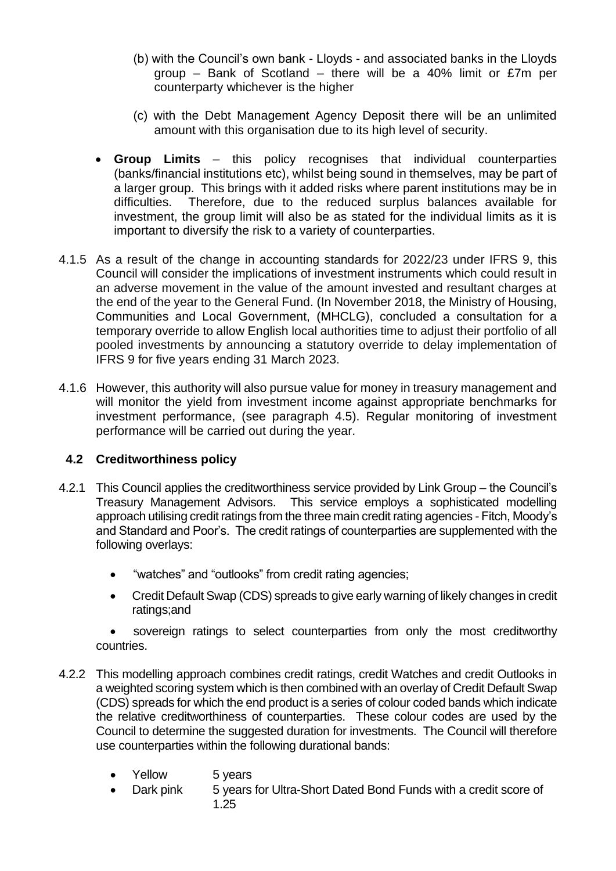- (b) with the Council's own bank Lloyds and associated banks in the Lloyds group – Bank of Scotland – there will be a 40% limit or £7m per counterparty whichever is the higher
- (c) with the Debt Management Agency Deposit there will be an unlimited amount with this organisation due to its high level of security.
- **Group Limits** this policy recognises that individual counterparties (banks/financial institutions etc), whilst being sound in themselves, may be part of a larger group. This brings with it added risks where parent institutions may be in difficulties. Therefore, due to the reduced surplus balances available for investment, the group limit will also be as stated for the individual limits as it is important to diversify the risk to a variety of counterparties.
- 4.1.5 As a result of the change in accounting standards for 2022/23 under IFRS 9, this Council will consider the implications of investment instruments which could result in an adverse movement in the value of the amount invested and resultant charges at the end of the year to the General Fund. (In November 2018, the Ministry of Housing, Communities and Local Government, (MHCLG), concluded a consultation for a temporary override to allow English local authorities time to adjust their portfolio of all pooled investments by announcing a statutory override to delay implementation of IFRS 9 for five years ending 31 March 2023.
- 4.1.6 However, this authority will also pursue value for money in treasury management and will monitor the yield from investment income against appropriate benchmarks for investment performance, (see paragraph 4.5). Regular monitoring of investment performance will be carried out during the year.

#### **4.2 Creditworthiness policy**

- 4.2.1 This Council applies the creditworthiness service provided by Link Group the Council's Treasury Management Advisors. This service employs a sophisticated modelling approach utilising credit ratings from the three main credit rating agencies - Fitch, Moody's and Standard and Poor's. The credit ratings of counterparties are supplemented with the following overlays:
	- "watches" and "outlooks" from credit rating agencies;
	- Credit Default Swap (CDS) spreads to give early warning of likely changes in credit ratings;and

sovereign ratings to select counterparties from only the most creditworthy countries.

- 4.2.2 This modelling approach combines credit ratings, credit Watches and credit Outlooks in a weighted scoring system which is then combined with an overlay of Credit Default Swap (CDS) spreads for which the end product is a series of colour coded bands which indicate the relative creditworthiness of counterparties. These colour codes are used by the Council to determine the suggested duration for investments. The Council will therefore use counterparties within the following durational bands:
	- Yellow 5 years
	- Dark pink 5 years for Ultra-Short Dated Bond Funds with a credit score of 1.25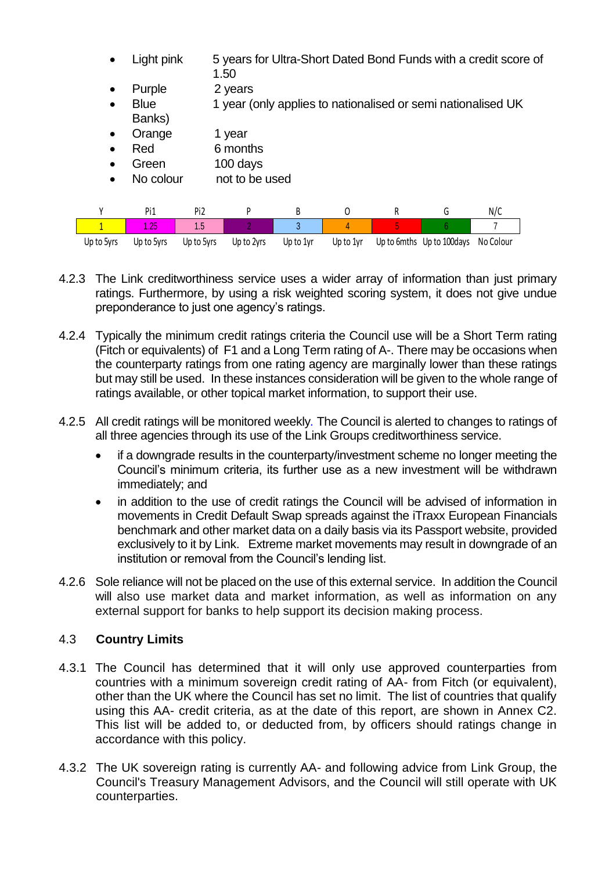| $\bullet$    | Light pink            |                 | 5 years for Ultra-Short Dated Bond Funds with a credit score of<br>1.50 |           |           |   |                                                              |           |  |
|--------------|-----------------------|-----------------|-------------------------------------------------------------------------|-----------|-----------|---|--------------------------------------------------------------|-----------|--|
| $\bullet$    | Purple                |                 | 2 years                                                                 |           |           |   |                                                              |           |  |
| $\bullet$    | <b>Blue</b><br>Banks) |                 |                                                                         |           |           |   | 1 year (only applies to nationalised or semi nationalised UK |           |  |
| $\bullet$    | Orange                |                 | 1 year                                                                  |           |           |   |                                                              |           |  |
| $\bullet$    | Red                   |                 | 6 months                                                                |           |           |   |                                                              |           |  |
| $\bullet$    | Green                 |                 | 100 days                                                                |           |           |   |                                                              |           |  |
| $\bullet$    | No colour             |                 | not to be used                                                          |           |           |   |                                                              |           |  |
|              |                       |                 |                                                                         |           |           |   |                                                              |           |  |
| γ            | Pi1                   | Pi <sub>2</sub> | P                                                                       | В         | 0         | R | G                                                            | N/C       |  |
| $\mathbf{1}$ | 1.25                  | 1.5             | 2                                                                       | 3         | 4         | 5 | 6                                                            |           |  |
| Up to 5yrs   | Up to 5yrs            | Up to 5yrs      | Up to 2yrs                                                              | Up to 1yr | Up to 1yr |   | Up to 6mths Up to 100 days                                   | No Colour |  |

- 4.2.3 The Link creditworthiness service uses a wider array of information than just primary ratings. Furthermore, by using a risk weighted scoring system, it does not give undue preponderance to just one agency's ratings.
- 4.2.4 Typically the minimum credit ratings criteria the Council use will be a Short Term rating (Fitch or equivalents) of F1 and a Long Term rating of A-. There may be occasions when the counterparty ratings from one rating agency are marginally lower than these ratings but may still be used. In these instances consideration will be given to the whole range of ratings available, or other topical market information, to support their use.
- 4.2.5 All credit ratings will be monitored weekly*.* The Council is alerted to changes to ratings of all three agencies through its use of the Link Groups creditworthiness service.
	- if a downgrade results in the counterparty/investment scheme no longer meeting the Council's minimum criteria, its further use as a new investment will be withdrawn immediately; and
	- in addition to the use of credit ratings the Council will be advised of information in movements in Credit Default Swap spreads against the iTraxx European Financials benchmark and other market data on a daily basis via its Passport website, provided exclusively to it by Link. Extreme market movements may result in downgrade of an institution or removal from the Council's lending list.
- 4.2.6 Sole reliance will not be placed on the use of this external service. In addition the Council will also use market data and market information, as well as information on any external support for banks to help support its decision making process.

### 4.3 **Country Limits**

- 4.3.1 The Council has determined that it will only use approved counterparties from countries with a minimum sovereign credit rating of AA- from Fitch (or equivalent), other than the UK where the Council has set no limit. The list of countries that qualify using this AA- credit criteria, as at the date of this report, are shown in Annex C2. This list will be added to, or deducted from, by officers should ratings change in accordance with this policy.
- 4.3.2 The UK sovereign rating is currently AA- and following advice from Link Group, the Council's Treasury Management Advisors, and the Council will still operate with UK counterparties.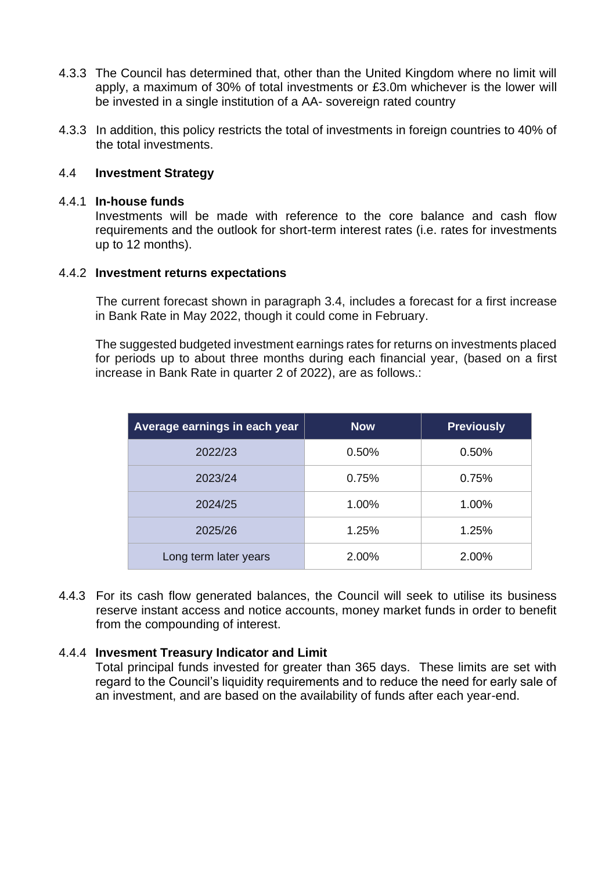- 4.3.3 The Council has determined that, other than the United Kingdom where no limit will apply, a maximum of 30% of total investments or £3.0m whichever is the lower will be invested in a single institution of a AA- sovereign rated country
- 4.3.3 In addition, this policy restricts the total of investments in foreign countries to 40% of the total investments.

#### 4.4 **Investment Strategy**

#### 4.4.1 **In-house funds**

Investments will be made with reference to the core balance and cash flow requirements and the outlook for short-term interest rates (i.e. rates for investments up to 12 months).

#### 4.4.2 **Investment returns expectations**

The current forecast shown in paragraph 3.4, includes a forecast for a first increase in Bank Rate in May 2022, though it could come in February.

The suggested budgeted investment earnings rates for returns on investments placed for periods up to about three months during each financial year, (based on a first increase in Bank Rate in quarter 2 of 2022), are as follows.:

| Average earnings in each year | <b>Now</b> | <b>Previously</b> |
|-------------------------------|------------|-------------------|
| 2022/23                       | 0.50%      | 0.50%             |
| 2023/24                       | 0.75%      | 0.75%             |
| 2024/25                       | 1.00%      | 1.00%             |
| 2025/26                       | 1.25%      | 1.25%             |
| Long term later years         | 2.00%      | 2.00%             |

4.4.3 For its cash flow generated balances, the Council will seek to utilise its business reserve instant access and notice accounts, money market funds in order to benefit from the compounding of interest.

#### 4.4.4 **Invesment Treasury Indicator and Limit**

Total principal funds invested for greater than 365 days. These limits are set with regard to the Council's liquidity requirements and to reduce the need for early sale of an investment, and are based on the availability of funds after each year-end.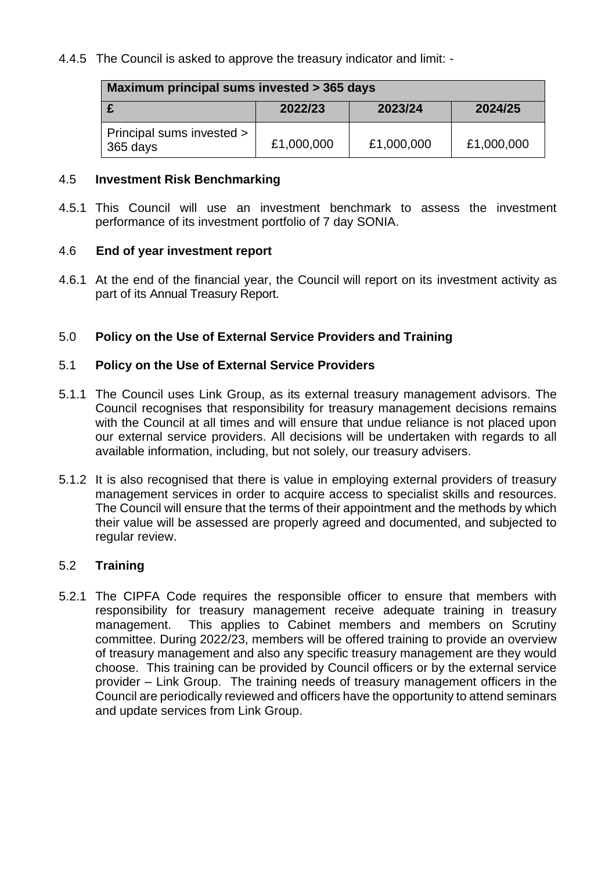### 4.4.5 The Council is asked to approve the treasury indicator and limit: -

| Maximum principal sums invested > 365 days |            |            |            |  |  |
|--------------------------------------------|------------|------------|------------|--|--|
|                                            | 2022/23    | 2023/24    | 2024/25    |  |  |
| Principal sums invested ><br>365 days      | £1,000,000 | £1,000,000 | £1,000,000 |  |  |

#### 4.5 **Investment Risk Benchmarking**

4.5.1 This Council will use an investment benchmark to assess the investment performance of its investment portfolio of 7 day SONIA.

#### 4.6 **End of year investment report**

4.6.1 At the end of the financial year, the Council will report on its investment activity as part of its Annual Treasury Report.

### 5.0 **Policy on the Use of External Service Providers and Training**

#### 5.1 **Policy on the Use of External Service Providers**

- 5.1.1 The Council uses Link Group, as its external treasury management advisors. The Council recognises that responsibility for treasury management decisions remains with the Council at all times and will ensure that undue reliance is not placed upon our external service providers. All decisions will be undertaken with regards to all available information, including, but not solely, our treasury advisers.
- 5.1.2 It is also recognised that there is value in employing external providers of treasury management services in order to acquire access to specialist skills and resources. The Council will ensure that the terms of their appointment and the methods by which their value will be assessed are properly agreed and documented, and subjected to regular review.

#### 5.2 **Training**

5.2.1 The CIPFA Code requires the responsible officer to ensure that members with responsibility for treasury management receive adequate training in treasury management. This applies to Cabinet members and members on Scrutiny committee. During 2022/23, members will be offered training to provide an overview of treasury management and also any specific treasury management are they would choose. This training can be provided by Council officers or by the external service provider – Link Group. The training needs of treasury management officers in the Council are periodically reviewed and officers have the opportunity to attend seminars and update services from Link Group.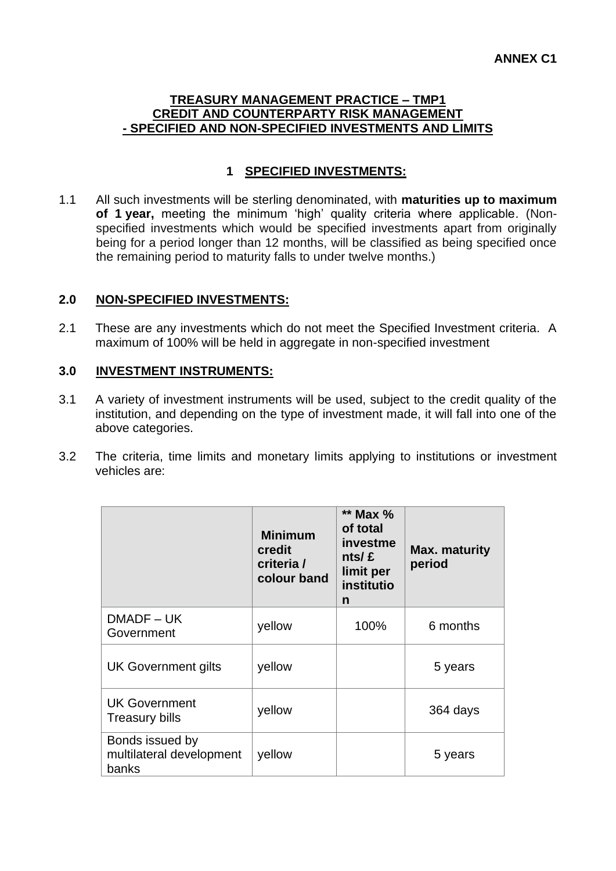#### **TREASURY MANAGEMENT PRACTICE – TMP1 CREDIT AND COUNTERPARTY RISK MANAGEMENT - SPECIFIED AND NON-SPECIFIED INVESTMENTS AND LIMITS**

## **1 SPECIFIED INVESTMENTS:**

1.1 All such investments will be sterling denominated, with **maturities up to maximum of 1 year,** meeting the minimum 'high' quality criteria where applicable. (Nonspecified investments which would be specified investments apart from originally being for a period longer than 12 months, will be classified as being specified once the remaining period to maturity falls to under twelve months.)

#### **2.0 NON-SPECIFIED INVESTMENTS:**

2.1 These are any investments which do not meet the Specified Investment criteria. A maximum of 100% will be held in aggregate in non-specified investment

#### **3.0 INVESTMENT INSTRUMENTS:**

- 3.1 A variety of investment instruments will be used, subject to the credit quality of the institution, and depending on the type of investment made, it will fall into one of the above categories.
- 3.2 The criteria, time limits and monetary limits applying to institutions or investment vehicles are:

|                                                      | <b>Minimum</b><br>credit<br>criteria /<br>colour band | ** Max %<br>of total<br>investme<br>nts/ f<br>limit per<br>institutio<br>n | Max. maturity<br>period |
|------------------------------------------------------|-------------------------------------------------------|----------------------------------------------------------------------------|-------------------------|
| DMADF-UK<br>Government                               | yellow                                                | 100%                                                                       | 6 months                |
| <b>UK Government gilts</b>                           | yellow                                                |                                                                            | 5 years                 |
| <b>UK Government</b><br><b>Treasury bills</b>        | yellow                                                |                                                                            | 364 days                |
| Bonds issued by<br>multilateral development<br>banks | yellow                                                |                                                                            | 5 years                 |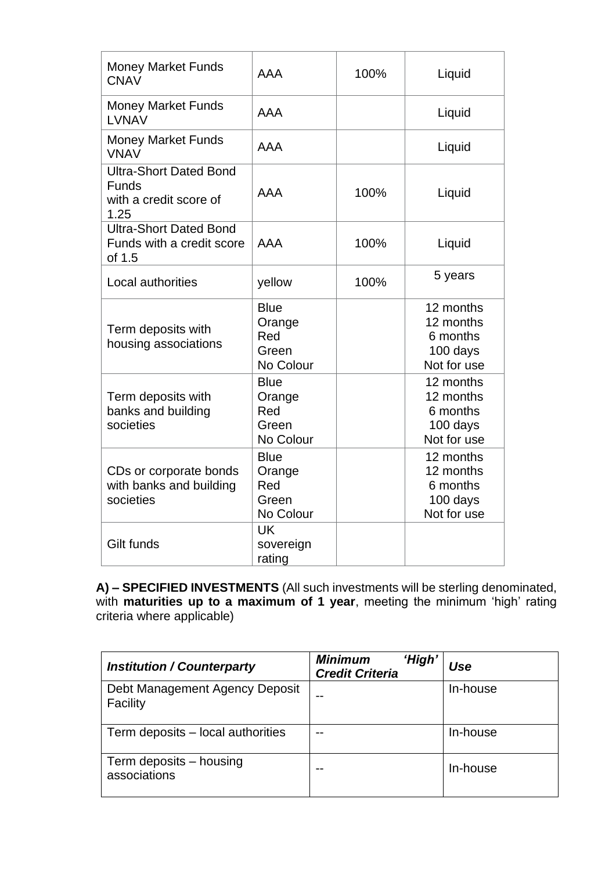| <b>Money Market Funds</b><br><b>CNAV</b>                                        | AAA                                                | 100% | Liquid                                                        |
|---------------------------------------------------------------------------------|----------------------------------------------------|------|---------------------------------------------------------------|
| <b>Money Market Funds</b><br><b>LVNAV</b>                                       | AAA                                                |      | Liquid                                                        |
| <b>Money Market Funds</b><br><b>VNAV</b>                                        | AAA                                                |      | Liquid                                                        |
| <b>Ultra-Short Dated Bond</b><br><b>Funds</b><br>with a credit score of<br>1.25 | AAA                                                | 100% | Liquid                                                        |
| <b>Ultra-Short Dated Bond</b><br>Funds with a credit score<br>of 1.5            | AAA                                                | 100% | Liquid                                                        |
| <b>Local authorities</b>                                                        | yellow                                             | 100% | 5 years                                                       |
| Term deposits with<br>housing associations                                      | <b>Blue</b><br>Orange<br>Red<br>Green<br>No Colour |      | 12 months<br>12 months<br>6 months<br>100 days<br>Not for use |
| Term deposits with<br>banks and building<br>societies                           | <b>Blue</b><br>Orange<br>Red<br>Green<br>No Colour |      | 12 months<br>12 months<br>6 months<br>100 days<br>Not for use |
| CDs or corporate bonds<br>with banks and building<br>societies                  | <b>Blue</b><br>Orange<br>Red<br>Green<br>No Colour |      | 12 months<br>12 months<br>6 months<br>100 days<br>Not for use |
| Gilt funds                                                                      | <b>UK</b><br>sovereign<br>rating                   |      |                                                               |

**A) – SPECIFIED INVESTMENTS** (All such investments will be sterling denominated, with **maturities up to a maximum of 1 year**, meeting the minimum 'high' rating criteria where applicable)

| <b>Institution / Counterparty</b>          | 'High'<br><b>Minimum</b><br><b>Credit Criteria</b> | Use      |
|--------------------------------------------|----------------------------------------------------|----------|
| Debt Management Agency Deposit<br>Facility |                                                    | In-house |
| Term deposits – local authorities          |                                                    | In-house |
| Term deposits – housing<br>associations    |                                                    | In-house |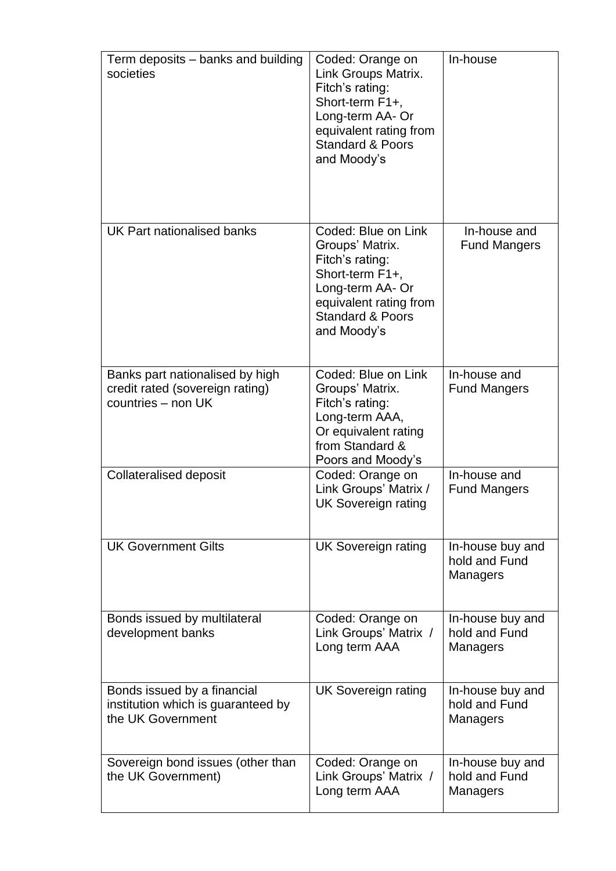| Term deposits – banks and building<br>societies                                          | Coded: Orange on<br>Link Groups Matrix.<br>Fitch's rating:<br>Short-term F1+,<br>Long-term AA- Or<br>equivalent rating from<br><b>Standard &amp; Poors</b><br>and Moody's | In-house                                      |
|------------------------------------------------------------------------------------------|---------------------------------------------------------------------------------------------------------------------------------------------------------------------------|-----------------------------------------------|
| UK Part nationalised banks                                                               | Coded: Blue on Link<br>Groups' Matrix.<br>Fitch's rating:<br>Short-term F1+,<br>Long-term AA- Or<br>equivalent rating from<br><b>Standard &amp; Poors</b><br>and Moody's  | In-house and<br><b>Fund Mangers</b>           |
| Banks part nationalised by high<br>credit rated (sovereign rating)<br>countries - non UK | Coded: Blue on Link<br>Groups' Matrix.<br>Fitch's rating:<br>Long-term AAA,<br>Or equivalent rating<br>from Standard &<br>Poors and Moody's                               | In-house and<br><b>Fund Mangers</b>           |
| <b>Collateralised deposit</b>                                                            | Coded: Orange on<br>Link Groups' Matrix /<br><b>UK Sovereign rating</b>                                                                                                   | In-house and<br><b>Fund Mangers</b>           |
| <b>UK Government Gilts</b>                                                               | <b>UK Sovereign rating</b>                                                                                                                                                | In-house buy and<br>hold and Fund<br>Managers |
| Bonds issued by multilateral<br>development banks                                        | Coded: Orange on<br>Link Groups' Matrix /<br>Long term AAA                                                                                                                | In-house buy and<br>hold and Fund<br>Managers |
| Bonds issued by a financial<br>institution which is guaranteed by<br>the UK Government   | <b>UK Sovereign rating</b>                                                                                                                                                | In-house buy and<br>hold and Fund<br>Managers |
| Sovereign bond issues (other than<br>the UK Government)                                  | Coded: Orange on<br>Link Groups' Matrix /<br>Long term AAA                                                                                                                | In-house buy and<br>hold and Fund<br>Managers |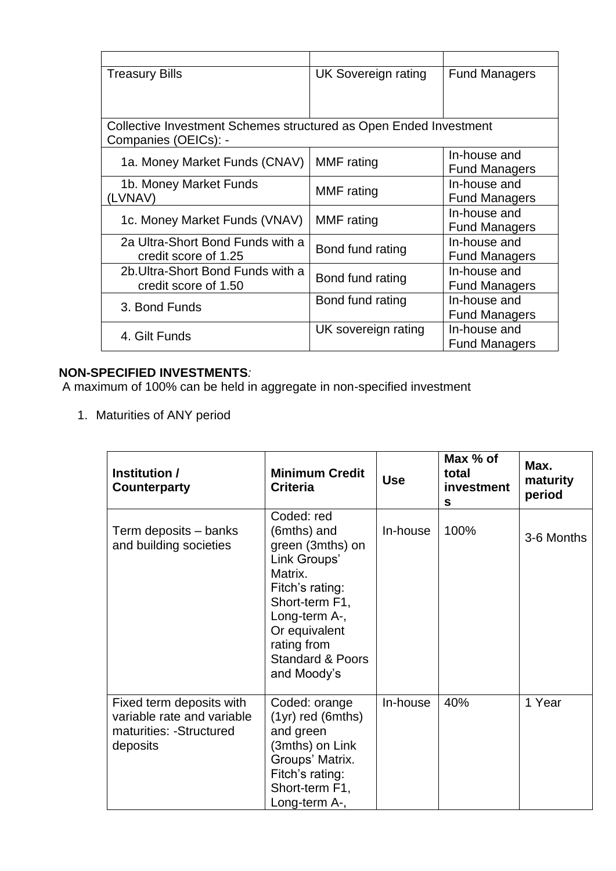| <b>Treasury Bills</b>                                             | <b>UK Sovereign rating</b> | <b>Fund Managers</b> |
|-------------------------------------------------------------------|----------------------------|----------------------|
|                                                                   |                            |                      |
|                                                                   |                            |                      |
| Collective Investment Schemes structured as Open Ended Investment |                            |                      |
| Companies (OEICs): -                                              |                            |                      |
| 1a. Money Market Funds (CNAV)                                     | <b>MMF</b> rating          | In-house and         |
|                                                                   |                            | <b>Fund Managers</b> |
| 1b. Money Market Funds                                            | MMF rating                 | In-house and         |
| LVNAV)                                                            |                            | <b>Fund Managers</b> |
| 1c. Money Market Funds (VNAV)                                     | <b>MMF</b> rating          | In-house and         |
|                                                                   |                            | <b>Fund Managers</b> |
| 2a Ultra-Short Bond Funds with a                                  | Bond fund rating           | In-house and         |
| credit score of 1.25                                              |                            | <b>Fund Managers</b> |
| 2b. Ultra-Short Bond Funds with a                                 | Bond fund rating           | In-house and         |
| credit score of 1.50                                              |                            | <b>Fund Managers</b> |
| 3. Bond Funds                                                     | Bond fund rating           | In-house and         |
|                                                                   |                            | <b>Fund Managers</b> |
| 4. Gilt Funds                                                     | UK sovereign rating        | In-house and         |
|                                                                   |                            | <b>Fund Managers</b> |

# **NON-SPECIFIED INVESTMENTS***:*

A maximum of 100% can be held in aggregate in non-specified investment

1. Maturities of ANY period

| Institution /<br>Counterparty                                                                  | <b>Minimum Credit</b><br><b>Criteria</b>                                                                                                                                                                     | <b>Use</b> | Max % of<br>total<br>investment<br>S | Max.<br>maturity<br>period |
|------------------------------------------------------------------------------------------------|--------------------------------------------------------------------------------------------------------------------------------------------------------------------------------------------------------------|------------|--------------------------------------|----------------------------|
| Term deposits – banks<br>and building societies                                                | Coded: red<br>(6mths) and<br>green (3mths) on<br>Link Groups'<br>Matrix.<br>Fitch's rating:<br>Short-term F1,<br>Long-term A-,<br>Or equivalent<br>rating from<br><b>Standard &amp; Poors</b><br>and Moody's | In-house   | 100%                                 | 3-6 Months                 |
| Fixed term deposits with<br>variable rate and variable<br>maturities: - Structured<br>deposits | Coded: orange<br>$(1yr)$ red $(6mths)$<br>and green<br>(3mths) on Link<br>Groups' Matrix.<br>Fitch's rating:<br>Short-term F1,<br>Long-term A-,                                                              | In-house   | 40%                                  | 1 Year                     |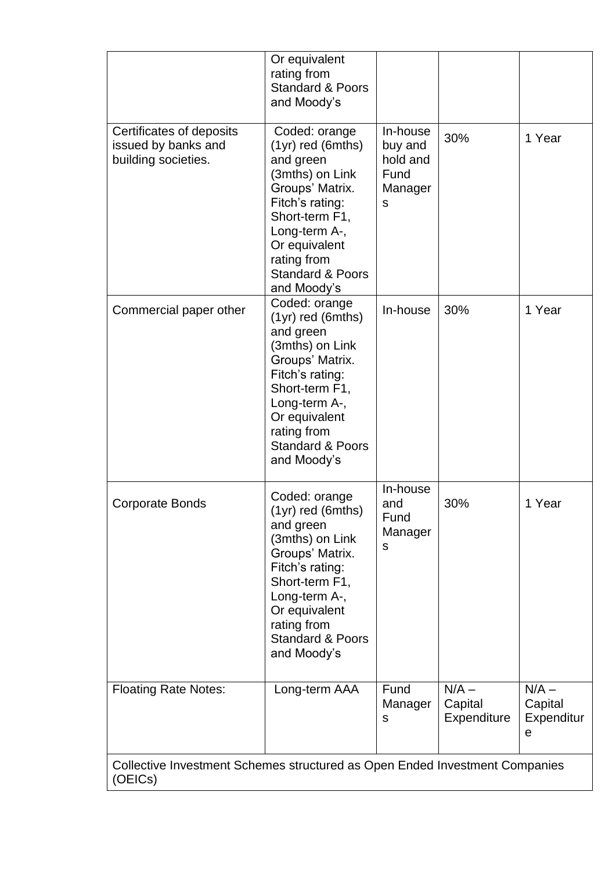|                                                                                        | Or equivalent<br>rating from<br><b>Standard &amp; Poors</b><br>and Moody's                                                                                                                                                  |                                                         |                                   |                                       |
|----------------------------------------------------------------------------------------|-----------------------------------------------------------------------------------------------------------------------------------------------------------------------------------------------------------------------------|---------------------------------------------------------|-----------------------------------|---------------------------------------|
| Certificates of deposits<br>issued by banks and<br>building societies.                 | Coded: orange<br>$(1yr)$ red (6mths)<br>and green<br>(3mths) on Link<br>Groups' Matrix.<br>Fitch's rating:<br>Short-term F1,<br>Long-term A-,<br>Or equivalent<br>rating from<br><b>Standard &amp; Poors</b><br>and Moody's | In-house<br>buy and<br>hold and<br>Fund<br>Manager<br>S | 30%                               | 1 Year                                |
| Commercial paper other                                                                 | Coded: orange<br>$(1yr)$ red (6mths)<br>and green<br>(3mths) on Link<br>Groups' Matrix.<br>Fitch's rating:<br>Short-term F1,<br>Long-term A-,<br>Or equivalent<br>rating from<br><b>Standard &amp; Poors</b><br>and Moody's | In-house                                                | 30%                               | 1 Year                                |
| <b>Corporate Bonds</b>                                                                 | Coded: orange<br>(1yr) red (6mths)<br>and green<br>(3mths) on Link<br>Groups' Matrix.<br>Fitch's rating:<br>Short-term F1,<br>Long-term A-,<br>Or equivalent<br>rating from<br><b>Standard &amp; Poors</b><br>and Moody's   | In-house<br>and<br>Fund<br>Manager<br>s                 | 30%                               | 1 Year                                |
| <b>Floating Rate Notes:</b>                                                            | Long-term AAA                                                                                                                                                                                                               | Fund<br>Manager<br>S                                    | $N/A -$<br>Capital<br>Expenditure | $N/A -$<br>Capital<br>Expenditur<br>е |
| Collective Investment Schemes structured as Open Ended Investment Companies<br>(OEICs) |                                                                                                                                                                                                                             |                                                         |                                   |                                       |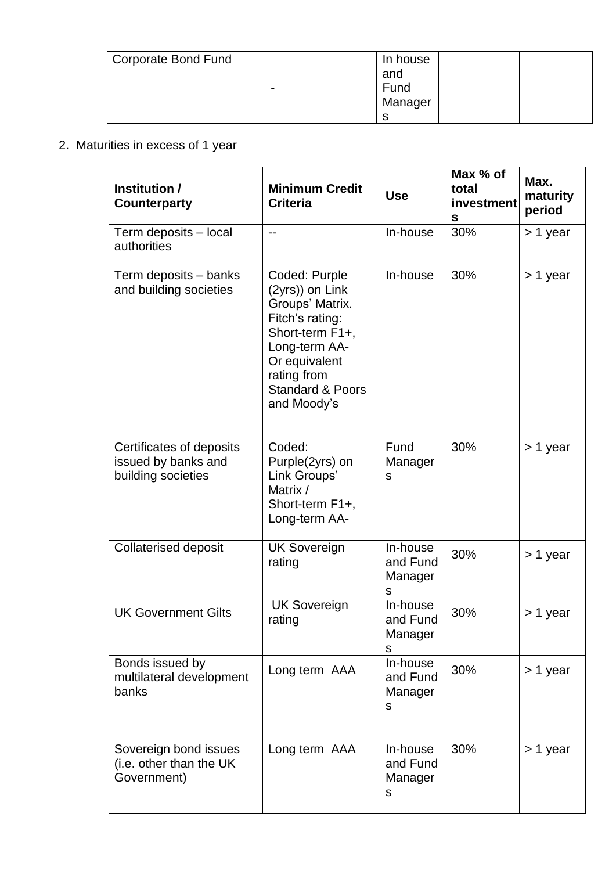| Corporate Bond Fund |                          | In house |
|---------------------|--------------------------|----------|
|                     |                          | and      |
|                     | $\overline{\phantom{0}}$ | Fund     |
|                     |                          | Manager  |
|                     |                          | ⌒        |

# 2. Maturities in excess of 1 year

| Institution /<br>Counterparty                                         | <b>Minimum Credit</b><br><b>Criteria</b>                                                                                                                                                 | <b>Use</b>                           | Max % of<br>total<br>investment<br>s | Max.<br>maturity<br>period |
|-----------------------------------------------------------------------|------------------------------------------------------------------------------------------------------------------------------------------------------------------------------------------|--------------------------------------|--------------------------------------|----------------------------|
| Term deposits - local<br>authorities                                  | $-$                                                                                                                                                                                      | In-house                             | 30%                                  | > 1 year                   |
| Term deposits - banks<br>and building societies                       | Coded: Purple<br>(2yrs)) on Link<br>Groups' Matrix.<br>Fitch's rating:<br>Short-term F1+,<br>Long-term AA-<br>Or equivalent<br>rating from<br><b>Standard &amp; Poors</b><br>and Moody's | In-house                             | 30%                                  | > 1 year                   |
| Certificates of deposits<br>issued by banks and<br>building societies | Coded:<br>Purple(2yrs) on<br>Link Groups'<br>Matrix /<br>Short-term F1+,<br>Long-term AA-                                                                                                | Fund<br>Manager<br>S                 | 30%                                  | > 1 year                   |
| <b>Collaterised deposit</b>                                           | <b>UK Sovereign</b><br>rating                                                                                                                                                            | In-house<br>and Fund<br>Manager<br>S | 30%                                  | > 1 year                   |
| <b>UK Government Gilts</b>                                            | <b>UK Sovereign</b><br>rating                                                                                                                                                            | In-house<br>and Fund<br>Manager<br>S | 30%                                  | > 1 year                   |
| Bonds issued by<br>multilateral development<br>banks                  | Long term AAA                                                                                                                                                                            | In-house<br>and Fund<br>Manager<br>S | 30%                                  | > 1 year                   |
| Sovereign bond issues<br>(i.e. other than the UK<br>Government)       | Long term AAA                                                                                                                                                                            | In-house<br>and Fund<br>Manager<br>S | 30%                                  | > 1 year                   |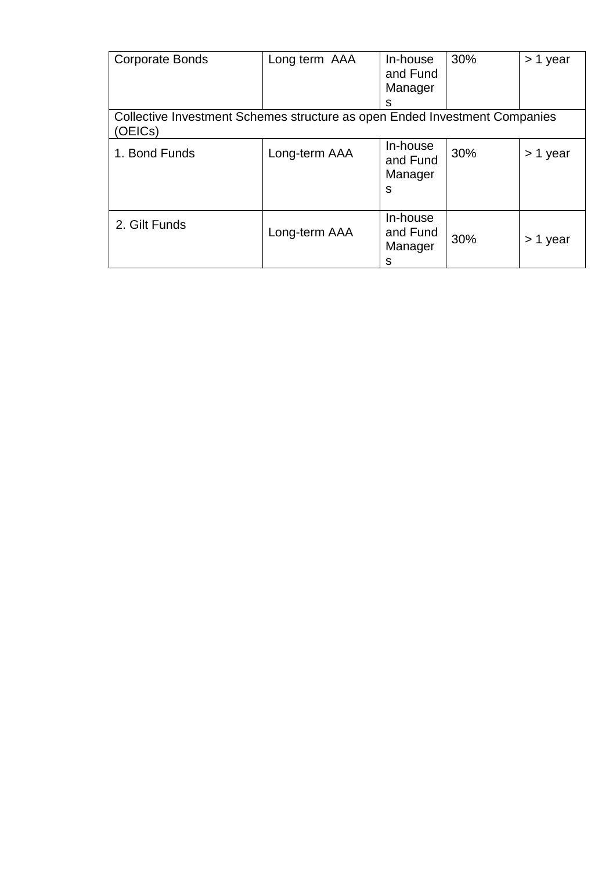| <b>Corporate Bonds</b>                                                                | Long term AAA | In-house<br>and Fund<br>Manager<br>s | 30% | > 1 year |  |  |
|---------------------------------------------------------------------------------------|---------------|--------------------------------------|-----|----------|--|--|
| Collective Investment Schemes structure as open Ended Investment Companies<br>(OEICs) |               |                                      |     |          |  |  |
| 1. Bond Funds                                                                         | Long-term AAA | In-house<br>and Fund<br>Manager<br>S | 30% | > 1 year |  |  |
| 2. Gilt Funds                                                                         | Long-term AAA | In-house<br>and Fund<br>Manager<br>s | 30% | > 1 year |  |  |